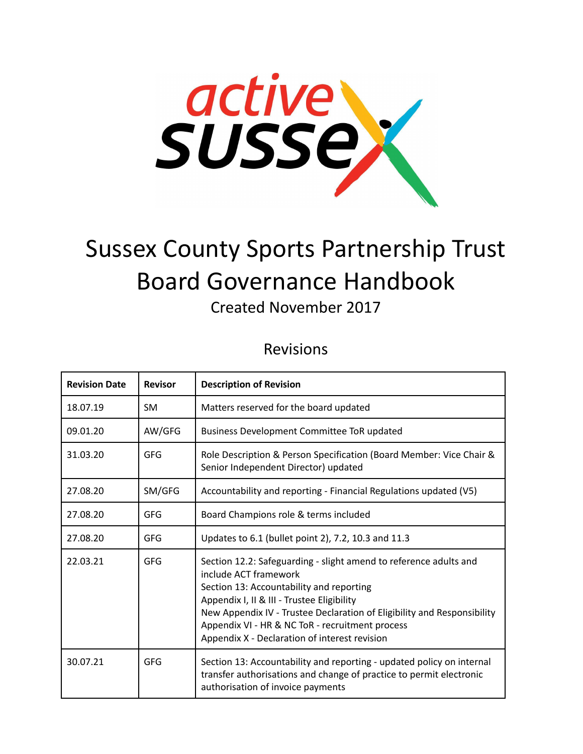

# Sussex County Sports Partnership Trust Board Governance Handbook

Created November 2017

## Revisions

| <b>Revision Date</b> | <b>Revisor</b> | <b>Description of Revision</b>                                                                                                                                                                                                                                                                                                                                      |  |
|----------------------|----------------|---------------------------------------------------------------------------------------------------------------------------------------------------------------------------------------------------------------------------------------------------------------------------------------------------------------------------------------------------------------------|--|
| 18.07.19             | <b>SM</b>      | Matters reserved for the board updated                                                                                                                                                                                                                                                                                                                              |  |
| 09.01.20             | AW/GFG         | <b>Business Development Committee ToR updated</b>                                                                                                                                                                                                                                                                                                                   |  |
| 31.03.20             | GFG            | Role Description & Person Specification (Board Member: Vice Chair &<br>Senior Independent Director) updated                                                                                                                                                                                                                                                         |  |
| 27.08.20             | SM/GFG         | Accountability and reporting - Financial Regulations updated (V5)                                                                                                                                                                                                                                                                                                   |  |
| 27.08.20             | <b>GFG</b>     | Board Champions role & terms included                                                                                                                                                                                                                                                                                                                               |  |
| 27.08.20             | GFG            | Updates to 6.1 (bullet point 2), 7.2, 10.3 and 11.3                                                                                                                                                                                                                                                                                                                 |  |
| 22.03.21             | <b>GFG</b>     | Section 12.2: Safeguarding - slight amend to reference adults and<br>include ACT framework<br>Section 13: Accountability and reporting<br>Appendix I, II & III - Trustee Eligibility<br>New Appendix IV - Trustee Declaration of Eligibility and Responsibility<br>Appendix VI - HR & NC ToR - recruitment process<br>Appendix X - Declaration of interest revision |  |
| 30.07.21             | GFG            | Section 13: Accountability and reporting - updated policy on internal<br>transfer authorisations and change of practice to permit electronic<br>authorisation of invoice payments                                                                                                                                                                                   |  |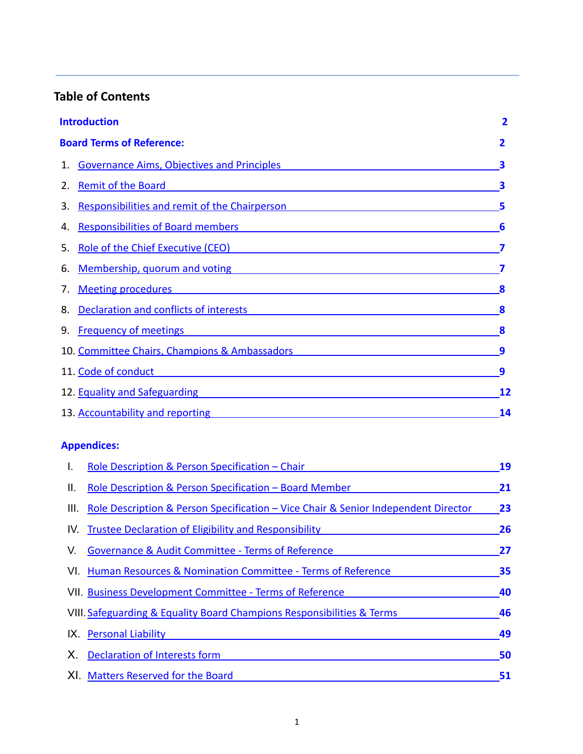## **Table of Contents**

|                                  | <b>Introduction</b>                                                                                                                                |    |
|----------------------------------|----------------------------------------------------------------------------------------------------------------------------------------------------|----|
| <b>Board Terms of Reference:</b> |                                                                                                                                                    | 2  |
| 1.                               | <b>Governance Aims, Objectives and Principles</b>                                                                                                  | 3  |
| 2.                               | <b>Remit of the Board</b>                                                                                                                          | 3  |
| 3.                               | Responsibilities and remit of the Chairperson                                                                                                      | 5  |
| 4.                               | <b>Responsibilities of Board members</b>                                                                                                           | 6  |
| 5.                               | Role of the Chief Executive (CEO)                                                                                                                  |    |
| 6.                               | Membership, quorum and voting                                                                                                                      |    |
| 7.                               | <b>Meeting procedures</b><br><u> 1989 - Johann Stoff, deutscher Stoff, der Stoff, der Stoff, der Stoff, der Stoff, der Stoff, der Stoff, der S</u> | 8  |
| 8.                               | Declaration and conflicts of interests <b>Exercise 2016</b>                                                                                        | 8  |
| 9.                               | <b>Frequency of meetings</b>                                                                                                                       | 8  |
|                                  | 10. Committee Chairs, Champions & Ambassadors                                                                                                      | 9  |
|                                  | 11. Code of conduct                                                                                                                                | 9  |
|                                  | 12. Equality and Safeguarding <b>Example 20</b> Section 2014 12.                                                                                   | 12 |
|                                  | 13. Accountability and reporting                                                                                                                   | 14 |

## **Appendices:**

| I.   | Role Description & Person Specification - Chair                                    | 19 |
|------|------------------------------------------------------------------------------------|----|
| Ш.   | Role Description & Person Specification - Board Member                             | 21 |
| III. | Role Description & Person Specification – Vice Chair & Senior Independent Director | 23 |
| IV.  | Trustee Declaration of Eligibility and Responsibility                              | 26 |
| V.   | <b>Governance &amp; Audit Committee - Terms of Reference</b>                       | 27 |
|      | VI. Human Resources & Nomination Committee - Terms of Reference                    | 35 |
|      | VII. Business Development Committee - Terms of Reference                           | 40 |
|      | VIII. Safeguarding & Equality Board Champions Responsibilities & Terms             | 46 |
|      | IX. Personal Liability                                                             | 49 |
| Х.   | <b>Declaration of Interests form</b>                                               | 50 |
|      | XI. Matters Reserved for the Board                                                 | 51 |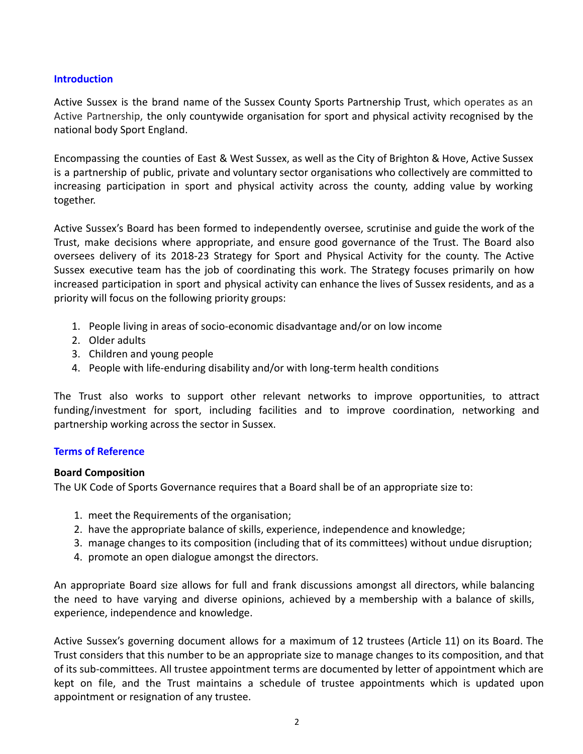## **Introduction**

Active Sussex is the brand name of the Sussex County Sports Partnership Trust, which operates as an Active Partnership, the only countywide organisation for sport and physical activity recognised by the national body Sport England.

Encompassing the counties of East & West Sussex, as well as the City of Brighton & Hove, Active Sussex is a partnership of public, private and voluntary sector organisations who collectively are committed to increasing participation in sport and physical activity across the county, adding value by working together.

Active Sussex's Board has been formed to independently oversee, scrutinise and guide the work of the Trust, make decisions where appropriate, and ensure good governance of the Trust. The Board also oversees delivery of its 2018-23 Strategy for Sport and Physical Activity for the county. The Active Sussex executive team has the job of coordinating this work. The Strategy focuses primarily on how increased participation in sport and physical activity can enhance the lives of Sussex residents, and as a priority will focus on the following priority groups:

- 1. People living in areas of socio-economic disadvantage and/or on low income
- 2. Older adults
- 3. Children and young people
- 4. People with life-enduring disability and/or with long-term health conditions

The Trust also works to support other relevant networks to improve opportunities, to attract funding/investment for sport, including facilities and to improve coordination, networking and partnership working across the sector in Sussex.

## **Terms of Reference**

## **Board Composition**

The UK Code of Sports Governance requires that a Board shall be of an appropriate size to:

- 1. meet the Requirements of the organisation;
- 2. have the appropriate balance of skills, experience, independence and knowledge;
- 3. manage changes to its composition (including that of its committees) without undue disruption;
- 4. promote an open dialogue amongst the directors.

An appropriate Board size allows for full and frank discussions amongst all directors, while balancing the need to have varying and diverse opinions, achieved by a membership with a balance of skills, experience, independence and knowledge.

Active Sussex's governing document allows for a maximum of 12 trustees (Article 11) on its Board. The Trust considers that this number to be an appropriate size to manage changes to its composition, and that of its sub-committees. All trustee appointment terms are documented by letter of appointment which are kept on file, and the Trust maintains a schedule of trustee appointments which is updated upon appointment or resignation of any trustee.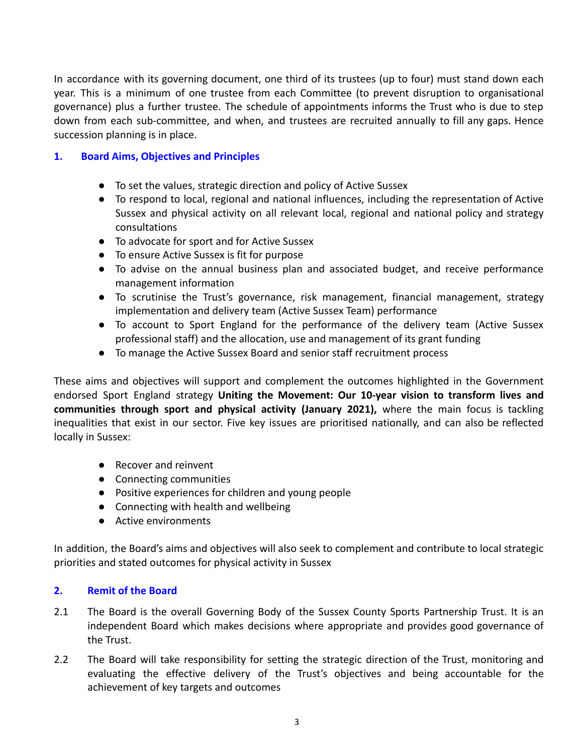In accordance with its governing document, one third of its trustees (up to four) must stand down each year. This is a minimum of one trustee from each Committee (to prevent disruption to organisational governance) plus a further trustee. The schedule of appointments informs the Trust who is due to step down from each sub-committee, and when, and trustees are recruited annually to fill any gaps. Hence succession planning is in place.

## **1. Board Aims, Objectives and Principles**

- To set the values, strategic direction and policy of Active Sussex
- To respond to local, regional and national influences, including the representation of Active Sussex and physical activity on all relevant local, regional and national policy and strategy consultations
- To advocate for sport and for Active Sussex
- To ensure Active Sussex is fit for purpose
- To advise on the annual business plan and associated budget, and receive performance management information
- To scrutinise the Trust's governance, risk management, financial management, strategy implementation and delivery team (Active Sussex Team) performance
- To account to Sport England for the performance of the delivery team (Active Sussex professional staff) and the allocation, use and management of its grant funding
- To manage the Active Sussex Board and senior staff recruitment process

These aims and objectives will support and complement the outcomes highlighted in the Government endorsed Sport England strategy **Uniting the Movement: Our 10-year vision to transform lives and communities through sport and physical activity (January 2021),** where the main focus is tackling inequalities that exist in our sector. Five key issues are prioritised nationally, and can also be reflected locally in Sussex:

- Recover and reinvent
- Connecting communities
- Positive experiences for children and young people
- Connecting with health and wellbeing
- Active environments

In addition, the Board's aims and objectives will also seek to complement and contribute to local strategic priorities and stated outcomes for physical activity in Sussex

## **2. Remit of the Board**

- 2.1 The Board is the overall Governing Body of the Sussex County Sports Partnership Trust. It is an independent Board which makes decisions where appropriate and provides good governance of the Trust.
- 2.2 The Board will take responsibility for setting the strategic direction of the Trust, monitoring and evaluating the effective delivery of the Trust's objectives and being accountable for the achievement of key targets and outcomes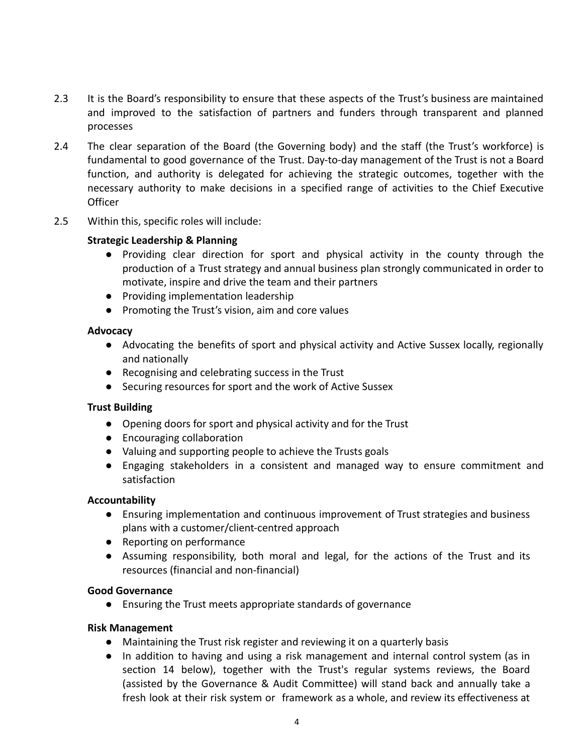- 2.3 It is the Board's responsibility to ensure that these aspects of the Trust's business are maintained and improved to the satisfaction of partners and funders through transparent and planned processes
- 2.4 The clear separation of the Board (the Governing body) and the staff (the Trust's workforce) is fundamental to good governance of the Trust. Day-to-day management of the Trust is not a Board function, and authority is delegated for achieving the strategic outcomes, together with the necessary authority to make decisions in a specified range of activities to the Chief Executive Officer
- 2.5 Within this, specific roles will include:

## **Strategic Leadership & Planning**

- Providing clear direction for sport and physical activity in the county through the production of a Trust strategy and annual business plan strongly communicated in order to motivate, inspire and drive the team and their partners
- Providing implementation leadership
- Promoting the Trust's vision, aim and core values

## **Advocacy**

- Advocating the benefits of sport and physical activity and Active Sussex locally, regionally and nationally
- Recognising and celebrating success in the Trust
- Securing resources for sport and the work of Active Sussex

## **Trust Building**

- Opening doors for sport and physical activity and for the Trust
- Encouraging collaboration
- Valuing and supporting people to achieve the Trusts goals
- Engaging stakeholders in a consistent and managed way to ensure commitment and satisfaction

## **Accountability**

- Ensuring implementation and continuous improvement of Trust strategies and business plans with a customer/client-centred approach
- Reporting on performance
- Assuming responsibility, both moral and legal, for the actions of the Trust and its resources (financial and non-financial)

## **Good Governance**

● Ensuring the Trust meets appropriate standards of governance

## **Risk Management**

- Maintaining the Trust risk register and reviewing it on a quarterly basis
- In addition to having and using a risk management and internal control system (as in section 14 below), together with the Trust's regular systems reviews, the Board (assisted by the Governance & Audit Committee) will stand back and annually take a fresh look at their risk system or framework as a whole, and review its effectiveness at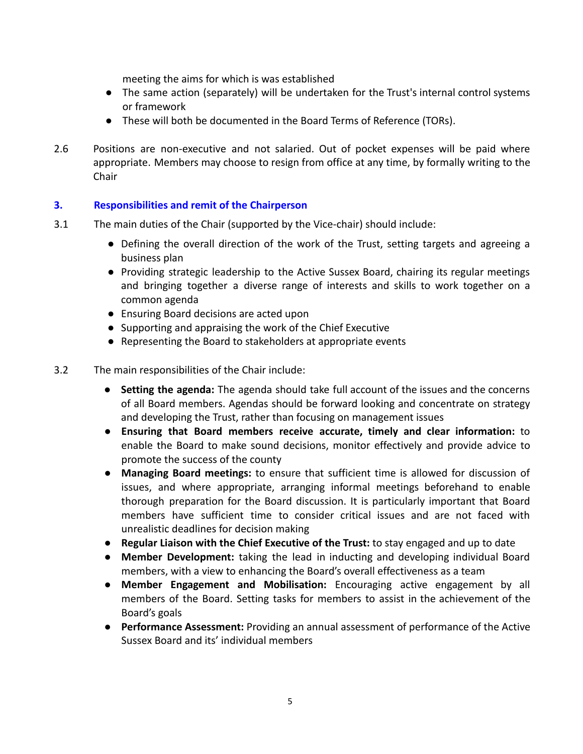meeting the aims for which is was established

- The same action (separately) will be undertaken for the Trust's internal control systems or framework
- These will both be documented in the Board Terms of Reference (TORs).
- 2.6 Positions are non-executive and not salaried. Out of pocket expenses will be paid where appropriate. Members may choose to resign from office at any time, by formally writing to the Chair

## **3. Responsibilities and remit of the Chairperson**

- 3.1 The main duties of the Chair (supported by the Vice-chair) should include:
	- Defining the overall direction of the work of the Trust, setting targets and agreeing a business plan
	- Providing strategic leadership to the Active Sussex Board, chairing its regular meetings and bringing together a diverse range of interests and skills to work together on a common agenda
	- Ensuring Board decisions are acted upon
	- Supporting and appraising the work of the Chief Executive
	- Representing the Board to stakeholders at appropriate events
- 3.2 The main responsibilities of the Chair include:
	- **Setting the agenda:** The agenda should take full account of the issues and the concerns of all Board members. Agendas should be forward looking and concentrate on strategy and developing the Trust, rather than focusing on management issues
	- **Ensuring that Board members receive accurate, timely and clear information:** to enable the Board to make sound decisions, monitor effectively and provide advice to promote the success of the county
	- **Managing Board meetings:** to ensure that sufficient time is allowed for discussion of issues, and where appropriate, arranging informal meetings beforehand to enable thorough preparation for the Board discussion. It is particularly important that Board members have sufficient time to consider critical issues and are not faced with unrealistic deadlines for decision making
	- **Regular Liaison with the Chief Executive of the Trust:** to stay engaged and up to date
	- **Member Development:** taking the lead in inducting and developing individual Board members, with a view to enhancing the Board's overall effectiveness as a team
	- **Member Engagement and Mobilisation:** Encouraging active engagement by all members of the Board. Setting tasks for members to assist in the achievement of the Board's goals
	- **Performance Assessment:** Providing an annual assessment of performance of the Active Sussex Board and its' individual members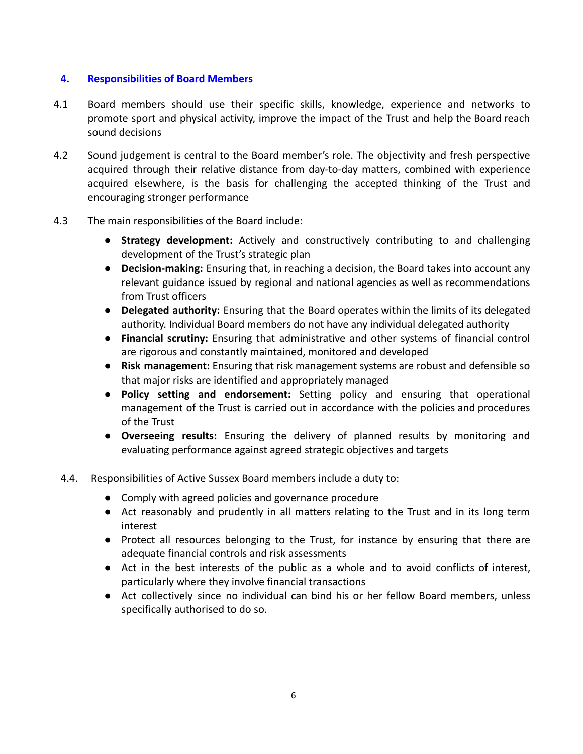## **4. Responsibilities of Board Members**

- 4.1 Board members should use their specific skills, knowledge, experience and networks to promote sport and physical activity, improve the impact of the Trust and help the Board reach sound decisions
- 4.2 Sound judgement is central to the Board member's role. The objectivity and fresh perspective acquired through their relative distance from day-to-day matters, combined with experience acquired elsewhere, is the basis for challenging the accepted thinking of the Trust and encouraging stronger performance
- 4.3 The main responsibilities of the Board include:
	- **Strategy development:** Actively and constructively contributing to and challenging development of the Trust's strategic plan
	- **Decision-making:** Ensuring that, in reaching a decision, the Board takes into account any relevant guidance issued by regional and national agencies as well as recommendations from Trust officers
	- **Delegated authority:** Ensuring that the Board operates within the limits of its delegated authority. Individual Board members do not have any individual delegated authority
	- **Financial scrutiny:** Ensuring that administrative and other systems of financial control are rigorous and constantly maintained, monitored and developed
	- **Risk management:** Ensuring that risk management systems are robust and defensible so that major risks are identified and appropriately managed
	- **Policy setting and endorsement:** Setting policy and ensuring that operational management of the Trust is carried out in accordance with the policies and procedures of the Trust
	- **Overseeing results:** Ensuring the delivery of planned results by monitoring and evaluating performance against agreed strategic objectives and targets
	- 4.4. Responsibilities of Active Sussex Board members include a duty to:
		- Comply with agreed policies and governance procedure
		- Act reasonably and prudently in all matters relating to the Trust and in its long term interest
		- Protect all resources belonging to the Trust, for instance by ensuring that there are adequate financial controls and risk assessments
		- Act in the best interests of the public as a whole and to avoid conflicts of interest, particularly where they involve financial transactions
		- Act collectively since no individual can bind his or her fellow Board members, unless specifically authorised to do so.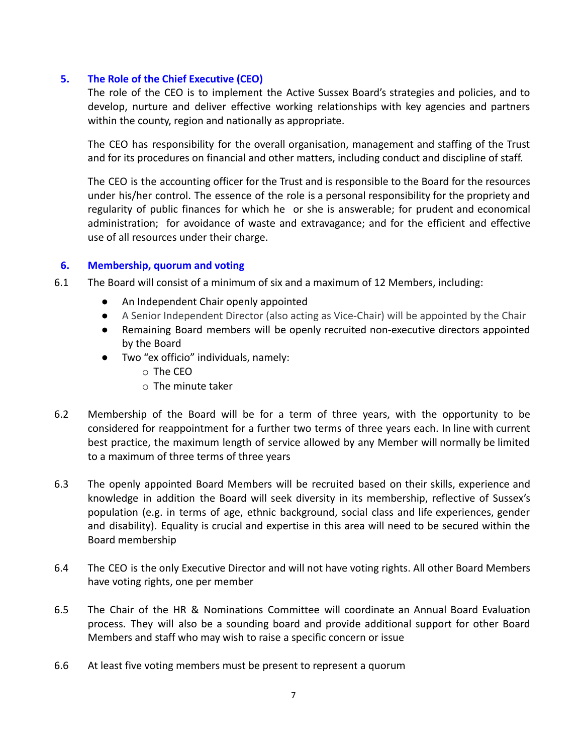## **5. The Role of the Chief Executive (CEO)**

The role of the CEO is to implement the Active Sussex Board's strategies and policies, and to develop, nurture and deliver effective working relationships with key agencies and partners within the county, region and nationally as appropriate.

The CEO has responsibility for the overall organisation, management and staffing of the Trust and for its procedures on financial and other matters, including conduct and discipline of staff.

The CEO is the accounting officer for the Trust and is responsible to the Board for the resources under his/her control. The essence of the role is a personal responsibility for the propriety and regularity of public finances for which he or she is answerable; for prudent and economical administration; for avoidance of waste and extravagance; and for the efficient and effective use of all resources under their charge.

## **6. Membership, quorum and voting**

- 6.1 The Board will consist of a minimum of six and a maximum of 12 Members, including:
	- An Independent Chair openly appointed
	- A Senior Independent Director (also acting as Vice-Chair) will be appointed by the Chair
	- Remaining Board members will be openly recruited non-executive directors appointed by the Board
	- Two "ex officio" individuals, namely:
		- o The CEO
		- o The minute taker
- 6.2 Membership of the Board will be for a term of three years, with the opportunity to be considered for reappointment for a further two terms of three years each. In line with current best practice, the maximum length of service allowed by any Member will normally be limited to a maximum of three terms of three years
- 6.3 The openly appointed Board Members will be recruited based on their skills, experience and knowledge in addition the Board will seek diversity in its membership, reflective of Sussex's population (e.g. in terms of age, ethnic background, social class and life experiences, gender and disability). Equality is crucial and expertise in this area will need to be secured within the Board membership
- 6.4 The CEO is the only Executive Director and will not have voting rights. All other Board Members have voting rights, one per member
- 6.5 The Chair of the HR & Nominations Committee will coordinate an Annual Board Evaluation process. They will also be a sounding board and provide additional support for other Board Members and staff who may wish to raise a specific concern or issue
- 6.6 At least five voting members must be present to represent a quorum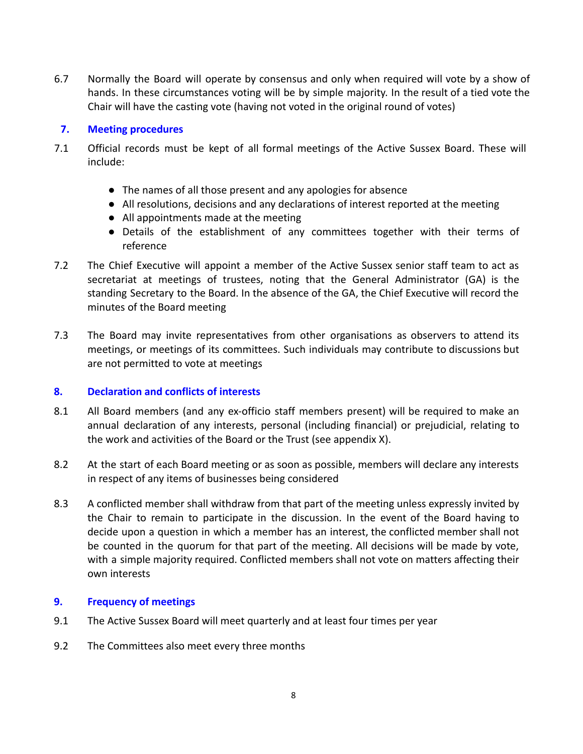6.7 Normally the Board will operate by consensus and only when required will vote by a show of hands. In these circumstances voting will be by simple majority. In the result of a tied vote the Chair will have the casting vote (having not voted in the original round of votes)

#### **7. Meeting procedures**

- 7.1 Official records must be kept of all formal meetings of the Active Sussex Board. These will include:
	- The names of all those present and any apologies for absence
	- All resolutions, decisions and any declarations of interest reported at the meeting
	- All appointments made at the meeting
	- Details of the establishment of any committees together with their terms of reference
- 7.2 The Chief Executive will appoint a member of the Active Sussex senior staff team to act as secretariat at meetings of trustees, noting that the General Administrator (GA) is the standing Secretary to the Board. In the absence of the GA, the Chief Executive will record the minutes of the Board meeting
- 7.3 The Board may invite representatives from other organisations as observers to attend its meetings, or meetings of its committees. Such individuals may contribute to discussions but are not permitted to vote at meetings

## **8. Declaration and conflicts of interests**

- 8.1 All Board members (and any ex-officio staff members present) will be required to make an annual declaration of any interests, personal (including financial) or prejudicial, relating to the work and activities of the Board or the Trust (see appendix X).
- 8.2 At the start of each Board meeting or as soon as possible, members will declare any interests in respect of any items of businesses being considered
- 8.3 A conflicted member shall withdraw from that part of the meeting unless expressly invited by the Chair to remain to participate in the discussion. In the event of the Board having to decide upon a question in which a member has an interest, the conflicted member shall not be counted in the quorum for that part of the meeting. All decisions will be made by vote, with a simple majority required. Conflicted members shall not vote on matters affecting their own interests

## **9. Frequency of meetings**

- 9.1 The Active Sussex Board will meet quarterly and at least four times per year
- 9.2 The Committees also meet every three months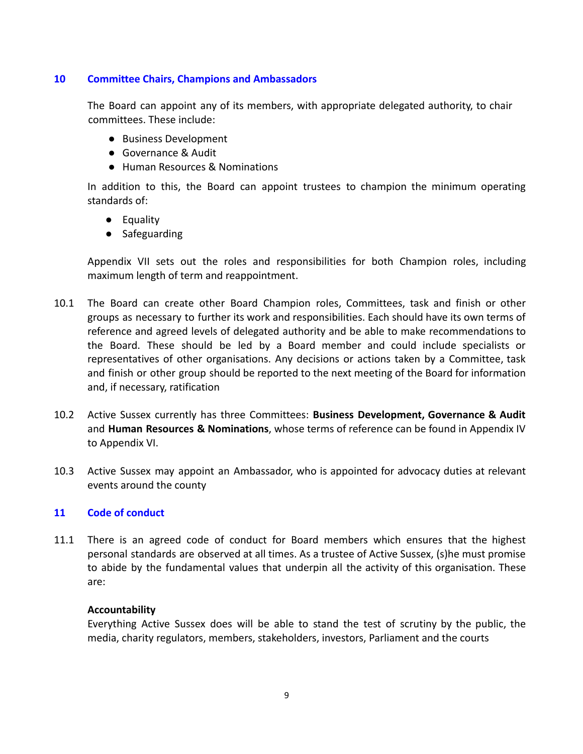## **10 Committee Chairs, Champions and Ambassadors**

The Board can appoint any of its members, with appropriate delegated authority, to chair committees. These include:

- Business Development
- Governance & Audit
- Human Resources & Nominations

In addition to this, the Board can appoint trustees to champion the minimum operating standards of:

- Equality
- Safeguarding

Appendix VII sets out the roles and responsibilities for both Champion roles, including maximum length of term and reappointment.

- 10.1 The Board can create other Board Champion roles, Committees, task and finish or other groups as necessary to further its work and responsibilities. Each should have its own terms of reference and agreed levels of delegated authority and be able to make recommendations to the Board. These should be led by a Board member and could include specialists or representatives of other organisations. Any decisions or actions taken by a Committee, task and finish or other group should be reported to the next meeting of the Board for information and, if necessary, ratification
- 10.2 Active Sussex currently has three Committees: **Business Development, Governance & Audit** and **Human Resources & Nominations**, whose terms of reference can be found in Appendix IV to Appendix VI.
- 10.3 Active Sussex may appoint an Ambassador, who is appointed for advocacy duties at relevant events around the county

## **11 Code of conduct**

11.1 There is an agreed code of conduct for Board members which ensures that the highest personal standards are observed at all times. As a trustee of Active Sussex, (s)he must promise to abide by the fundamental values that underpin all the activity of this organisation. These are:

## **Accountability**

Everything Active Sussex does will be able to stand the test of scrutiny by the public, the media, charity regulators, members, stakeholders, investors, Parliament and the courts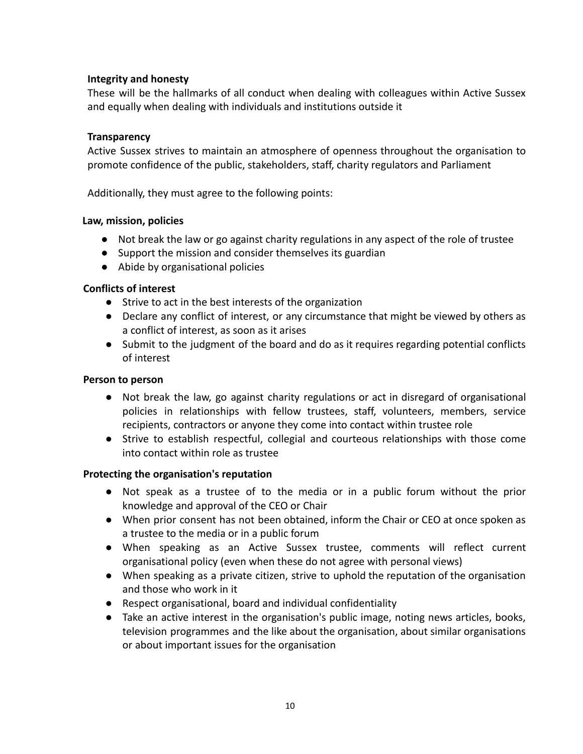## **Integrity and honesty**

These will be the hallmarks of all conduct when dealing with colleagues within Active Sussex and equally when dealing with individuals and institutions outside it

## **Transparency**

Active Sussex strives to maintain an atmosphere of openness throughout the organisation to promote confidence of the public, stakeholders, staff, charity regulators and Parliament

Additionally, they must agree to the following points:

## **Law, mission, policies**

- Not break the law or go against charity regulations in any aspect of the role of trustee
- Support the mission and consider themselves its guardian
- Abide by organisational policies

## **Conflicts of interest**

- Strive to act in the best interests of the organization
- Declare any conflict of interest, or any circumstance that might be viewed by others as a conflict of interest, as soon as it arises
- Submit to the judgment of the board and do as it requires regarding potential conflicts of interest

## **Person to person**

- Not break the law, go against charity regulations or act in disregard of organisational policies in relationships with fellow trustees, staff, volunteers, members, service recipients, contractors or anyone they come into contact within trustee role
- Strive to establish respectful, collegial and courteous relationships with those come into contact within role as trustee

## **Protecting the organisation's reputation**

- Not speak as a trustee of to the media or in a public forum without the prior knowledge and approval of the CEO or Chair
- When prior consent has not been obtained, inform the Chair or CEO at once spoken as a trustee to the media or in a public forum
- When speaking as an Active Sussex trustee, comments will reflect current organisational policy (even when these do not agree with personal views)
- When speaking as a private citizen, strive to uphold the reputation of the organisation and those who work in it
- Respect organisational, board and individual confidentiality
- Take an active interest in the organisation's public image, noting news articles, books, television programmes and the like about the organisation, about similar organisations or about important issues for the organisation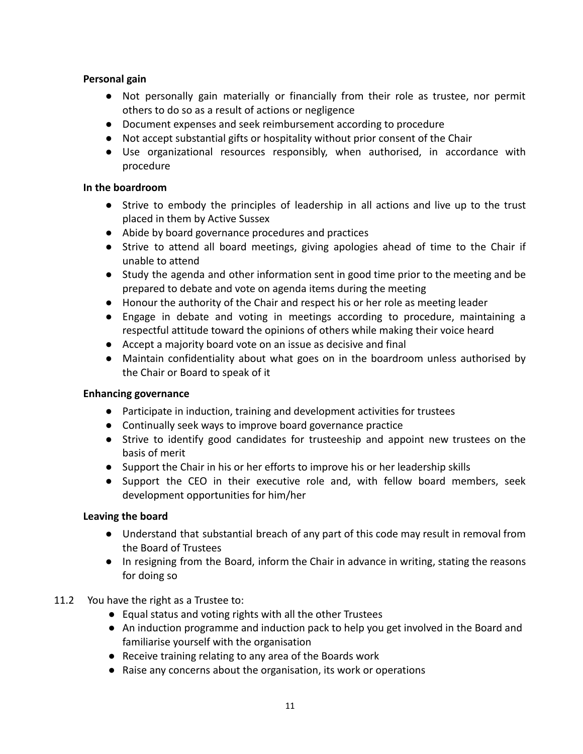## **Personal gain**

- Not personally gain materially or financially from their role as trustee, nor permit others to do so as a result of actions or negligence
- Document expenses and seek reimbursement according to procedure
- Not accept substantial gifts or hospitality without prior consent of the Chair
- Use organizational resources responsibly, when authorised, in accordance with procedure

## **In the boardroom**

- Strive to embody the principles of leadership in all actions and live up to the trust placed in them by Active Sussex
- Abide by board governance procedures and practices
- Strive to attend all board meetings, giving apologies ahead of time to the Chair if unable to attend
- Study the agenda and other information sent in good time prior to the meeting and be prepared to debate and vote on agenda items during the meeting
- Honour the authority of the Chair and respect his or her role as meeting leader
- Engage in debate and voting in meetings according to procedure, maintaining a respectful attitude toward the opinions of others while making their voice heard
- Accept a majority board vote on an issue as decisive and final
- Maintain confidentiality about what goes on in the boardroom unless authorised by the Chair or Board to speak of it

## **Enhancing governance**

- Participate in induction, training and development activities for trustees
- Continually seek ways to improve board governance practice
- Strive to identify good candidates for trusteeship and appoint new trustees on the basis of merit
- Support the Chair in his or her efforts to improve his or her leadership skills
- Support the CEO in their executive role and, with fellow board members, seek development opportunities for him/her

## **Leaving the board**

- Understand that substantial breach of any part of this code may result in removal from the Board of Trustees
- In resigning from the Board, inform the Chair in advance in writing, stating the reasons for doing so

## 11.2 You have the right as a Trustee to:

- Equal status and voting rights with all the other Trustees
- An induction programme and induction pack to help you get involved in the Board and familiarise yourself with the organisation
- Receive training relating to any area of the Boards work
- Raise any concerns about the organisation, its work or operations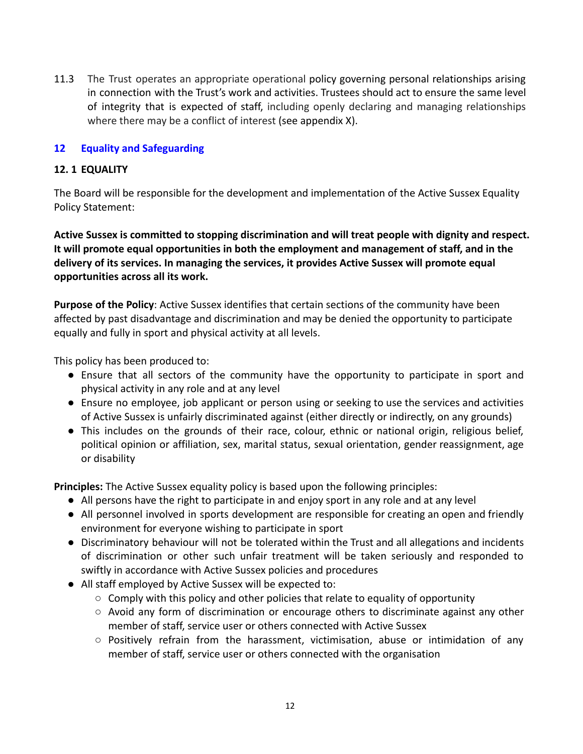11.3 The Trust operates an appropriate operational policy governing personal relationships arising in connection with the Trust's work and activities. Trustees should act to ensure the same level of integrity that is expected of staff, including openly declaring and managing relationships where there may be a conflict of interest (see appendix X).

## **12 Equality and Safeguarding**

## **12. 1 EQUALITY**

The Board will be responsible for the development and implementation of the Active Sussex Equality Policy Statement:

**Active Sussex is committed to stopping discrimination and will treat people with dignity and respect. It will promote equal opportunities in both the employment and management of staff, and in the delivery of its services. In managing the services, it provides Active Sussex will promote equal opportunities across all its work.**

**Purpose of the Policy**: Active Sussex identifies that certain sections of the community have been affected by past disadvantage and discrimination and may be denied the opportunity to participate equally and fully in sport and physical activity at all levels.

This policy has been produced to:

- Ensure that all sectors of the community have the opportunity to participate in sport and physical activity in any role and at any level
- Ensure no employee, job applicant or person using or seeking to use the services and activities of Active Sussex is unfairly discriminated against (either directly or indirectly, on any grounds)
- This includes on the grounds of their race, colour, ethnic or national origin, religious belief, political opinion or affiliation, sex, marital status, sexual orientation, gender reassignment, age or disability

**Principles:** The Active Sussex equality policy is based upon the following principles:

- All persons have the right to participate in and enjoy sport in any role and at any level
- All personnel involved in sports development are responsible for creating an open and friendly environment for everyone wishing to participate in sport
- Discriminatory behaviour will not be tolerated within the Trust and all allegations and incidents of discrimination or other such unfair treatment will be taken seriously and responded to swiftly in accordance with Active Sussex policies and procedures
- All staff employed by Active Sussex will be expected to:
	- $\circ$  Comply with this policy and other policies that relate to equality of opportunity
	- Avoid any form of discrimination or encourage others to discriminate against any other member of staff, service user or others connected with Active Sussex
	- $\circ$  Positively refrain from the harassment, victimisation, abuse or intimidation of any member of staff, service user or others connected with the organisation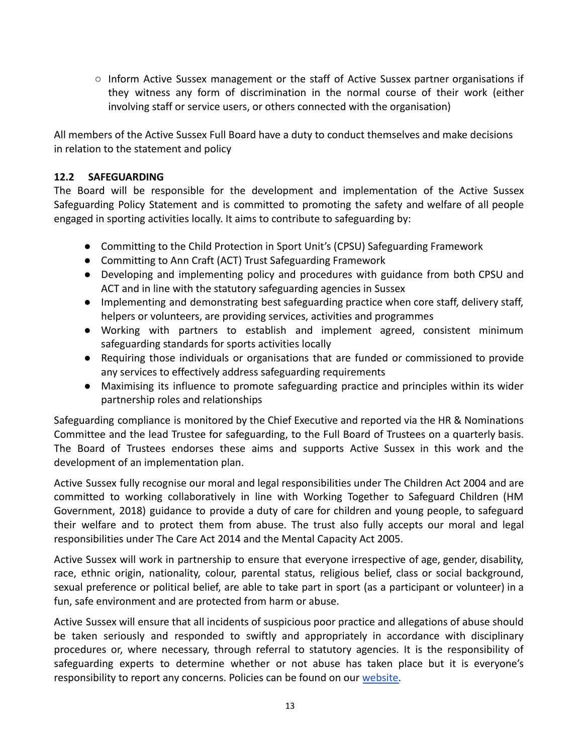○ Inform Active Sussex management or the staff of Active Sussex partner organisations if they witness any form of discrimination in the normal course of their work (either involving staff or service users, or others connected with the organisation)

All members of the Active Sussex Full Board have a duty to conduct themselves and make decisions in relation to the statement and policy

## **12.2 SAFEGUARDING**

The Board will be responsible for the development and implementation of the Active Sussex Safeguarding Policy Statement and is committed to promoting the safety and welfare of all people engaged in sporting activities locally. It aims to contribute to safeguarding by:

- Committing to the Child Protection in Sport Unit's (CPSU) Safeguarding Framework
- Committing to Ann Craft (ACT) Trust Safeguarding Framework
- Developing and implementing policy and procedures with guidance from both CPSU and ACT and in line with the statutory safeguarding agencies in Sussex
- Implementing and demonstrating best safeguarding practice when core staff, delivery staff, helpers or volunteers, are providing services, activities and programmes
- Working with partners to establish and implement agreed, consistent minimum safeguarding standards for sports activities locally
- Requiring those individuals or organisations that are funded or commissioned to provide any services to effectively address safeguarding requirements
- Maximising its influence to promote safeguarding practice and principles within its wider partnership roles and relationships

Safeguarding compliance is monitored by the Chief Executive and reported via the HR & Nominations Committee and the lead Trustee for safeguarding, to the Full Board of Trustees on a quarterly basis. The Board of Trustees endorses these aims and supports Active Sussex in this work and the development of an implementation plan.

Active Sussex fully recognise our moral and legal responsibilities under The Children Act 2004 and are committed to working collaboratively in line with Working Together to Safeguard Children (HM Government, 2018) guidance to provide a duty of care for children and young people, to safeguard their welfare and to protect them from abuse. The trust also fully accepts our moral and legal responsibilities under The Care Act 2014 and the Mental Capacity Act 2005.

Active Sussex will work in partnership to ensure that everyone irrespective of age, gender, disability, race, ethnic origin, nationality, colour, parental status, religious belief, class or social background, sexual preference or political belief, are able to take part in sport (as a participant or volunteer) in a fun, safe environment and are protected from harm or abuse.

Active Sussex will ensure that all incidents of suspicious poor practice and allegations of abuse should be taken seriously and responded to swiftly and appropriately in accordance with disciplinary procedures or, where necessary, through referral to statutory agencies. It is the responsibility of safeguarding experts to determine whether or not abuse has taken place but it is everyone's responsibility to report any concerns. Policies can be found on our [website.](https://www.activesussex.org/deliver-sport/safeguarding)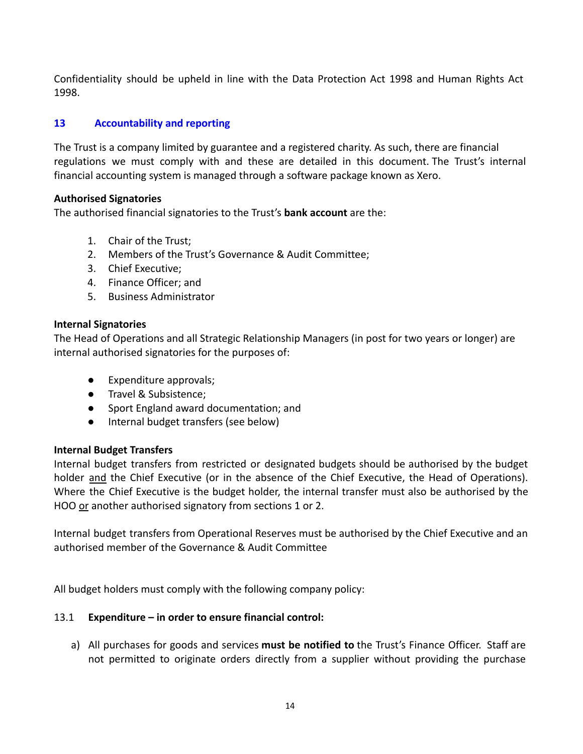Confidentiality should be upheld in line with the Data Protection Act 1998 and Human Rights Act 1998.

## **13 Accountability and reporting**

The Trust is a company limited by guarantee and a registered charity. As such, there are financial regulations we must comply with and these are detailed in this document. The Trust's internal financial accounting system is managed through a software package known as Xero.

## **Authorised Signatories**

The authorised financial signatories to the Trust's **bank account** are the:

- 1. Chair of the Trust;
- 2. Members of the Trust's Governance & Audit Committee;
- 3. Chief Executive;
- 4. Finance Officer; and
- 5. Business Administrator

#### **Internal Signatories**

The Head of Operations and all Strategic Relationship Managers (in post for two years or longer) are internal authorised signatories for the purposes of:

- Expenditure approvals;
- Travel & Subsistence;
- Sport England award documentation; and
- Internal budget transfers (see below)

## **Internal Budget Transfers**

Internal budget transfers from restricted or designated budgets should be authorised by the budget holder and the Chief Executive (or in the absence of the Chief Executive, the Head of Operations). Where the Chief Executive is the budget holder, the internal transfer must also be authorised by the HOO or another authorised signatory from sections 1 or 2.

Internal budget transfers from Operational Reserves must be authorised by the Chief Executive and an authorised member of the Governance & Audit Committee

All budget holders must comply with the following company policy:

## 13.1 **Expenditure – in order to ensure financial control:**

a) All purchases for goods and services **must be notified to** the Trust's Finance Officer. Staff are not permitted to originate orders directly from a supplier without providing the purchase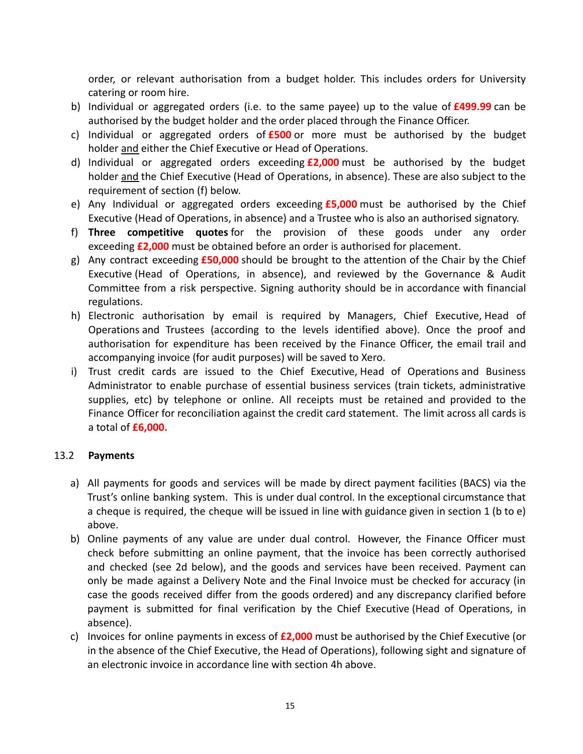order, or relevant authorisation from a budget holder. This includes orders for University catering or room hire.

- b) Individual or aggregated orders (i.e. to the same payee) up to the value of **£499.99** can be authorised by the budget holder and the order placed through the Finance Officer.
- c) Individual or aggregated orders of **£500** or more must be authorised by the budget holder and either the Chief Executive or Head of Operations.
- d) Individual or aggregated orders exceeding **£2,000** must be authorised by the budget holder and the Chief Executive (Head of Operations, in absence). These are also subject to the requirement of section (f) below.
- e) Any Individual or aggregated orders exceeding **£5,000** must be authorised by the Chief Executive (Head of Operations, in absence) and a Trustee who is also an authorised signatory.
- f) **Three competitive quotes** for the provision of these goods under any order exceeding **£2,000** must be obtained before an order is authorised for placement.
- g) Any contract exceeding **£50,000** should be brought to the attention of the Chair by the Chief Executive (Head of Operations, in absence), and reviewed by the Governance & Audit Committee from a risk perspective. Signing authority should be in accordance with financial regulations.
- h) Electronic authorisation by email is required by Managers, Chief Executive, Head of Operations and Trustees (according to the levels identified above). Once the proof and authorisation for expenditure has been received by the Finance Officer, the email trail and accompanying invoice (for audit purposes) will be saved to Xero.
- i) Trust credit cards are issued to the Chief Executive, Head of Operations and Business Administrator to enable purchase of essential business services (train tickets, administrative supplies, etc) by telephone or online. All receipts must be retained and provided to the Finance Officer for reconciliation against the credit card statement. The limit across all cards is a total of **£6,000.**

## 13.2 **Payments**

- a) All payments for goods and services will be made by direct payment facilities (BACS) via the Trust's online banking system. This is under dual control. In the exceptional circumstance that a cheque is required, the cheque will be issued in line with guidance given in section 1 (b to e) above.
- b) Online payments of any value are under dual control. However, the Finance Officer must check before submitting an online payment, that the invoice has been correctly authorised and checked (see 2d below), and the goods and services have been received. Payment can only be made against a Delivery Note and the Final Invoice must be checked for accuracy (in case the goods received differ from the goods ordered) and any discrepancy clarified before payment is submitted for final verification by the Chief Executive (Head of Operations, in absence).
- c) Invoices for online payments in excess of **£2,000** must be authorised by the Chief Executive (or in the absence of the Chief Executive, the Head of Operations), following sight and signature of an electronic invoice in accordance line with section 4h above.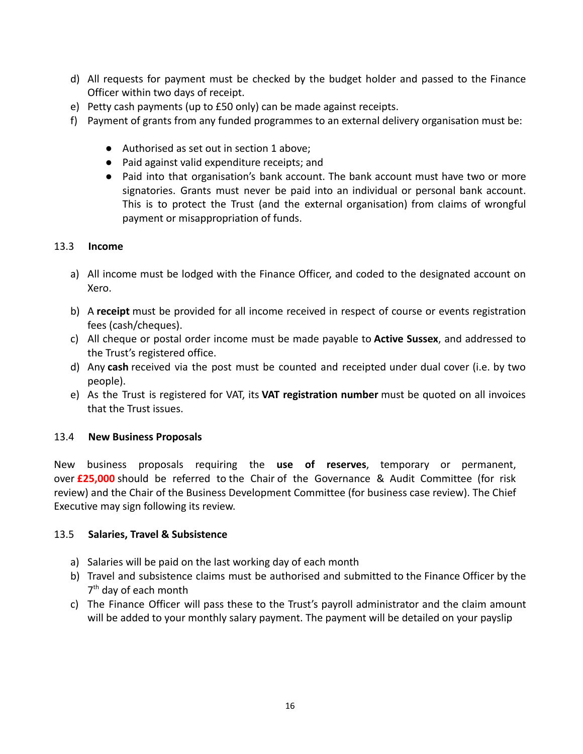- d) All requests for payment must be checked by the budget holder and passed to the Finance Officer within two days of receipt.
- e) Petty cash payments (up to £50 only) can be made against receipts.
- f) Payment of grants from any funded programmes to an external delivery organisation must be:
	- Authorised as set out in section 1 above;
	- Paid against valid expenditure receipts; and
	- Paid into that organisation's bank account. The bank account must have two or more signatories. Grants must never be paid into an individual or personal bank account. This is to protect the Trust (and the external organisation) from claims of wrongful payment or misappropriation of funds.

## 13.3 **Income**

- a) All income must be lodged with the Finance Officer, and coded to the designated account on Xero.
- b) A **receipt** must be provided for all income received in respect of course or events registration fees (cash/cheques).
- c) All cheque or postal order income must be made payable to **Active Sussex**, and addressed to the Trust's registered office.
- d) Any **cash** received via the post must be counted and receipted under dual cover (i.e. by two people).
- e) As the Trust is registered for VAT, its **VAT registration number** must be quoted on all invoices that the Trust issues.

## 13.4 **New Business Proposals**

New business proposals requiring the **use of reserves**, temporary or permanent, over **£25,000** should be referred to the Chair of the Governance & Audit Committee (for risk review) and the Chair of the Business Development Committee (for business case review). The Chief Executive may sign following its review.

## 13.5 **Salaries, Travel & Subsistence**

- a) Salaries will be paid on the last working day of each month
- b) Travel and subsistence claims must be authorised and submitted to the Finance Officer by the 7<sup>th</sup> day of each month
- c) The Finance Officer will pass these to the Trust's payroll administrator and the claim amount will be added to your monthly salary payment. The payment will be detailed on your payslip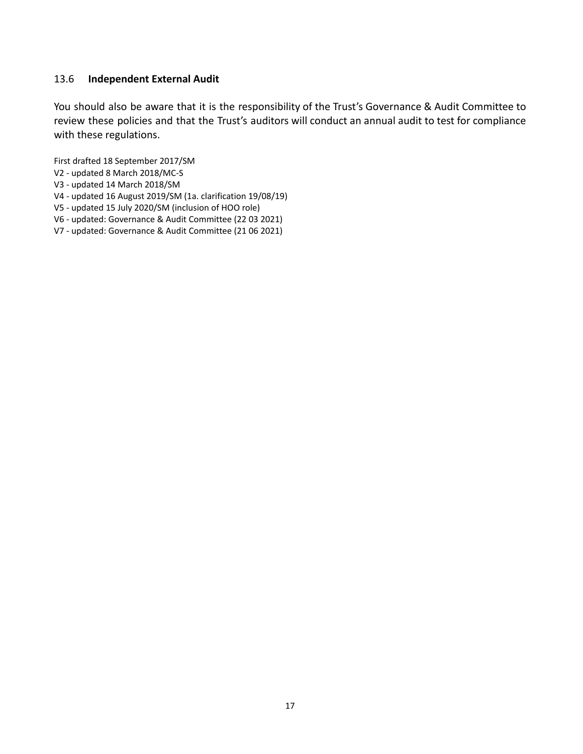## 13.6 **Independent External Audit**

You should also be aware that it is the responsibility of the Trust's Governance & Audit Committee to review these policies and that the Trust's auditors will conduct an annual audit to test for compliance with these regulations.

First drafted 18 September 2017/SM

- V2 updated 8 March 2018/MC-S
- V3 updated 14 March 2018/SM
- V4 updated 16 August 2019/SM (1a. clarification 19/08/19)
- V5 updated 15 July 2020/SM (inclusion of HOO role)
- V6 updated: Governance & Audit Committee (22 03 2021)
- V7 updated: Governance & Audit Committee (21 06 2021)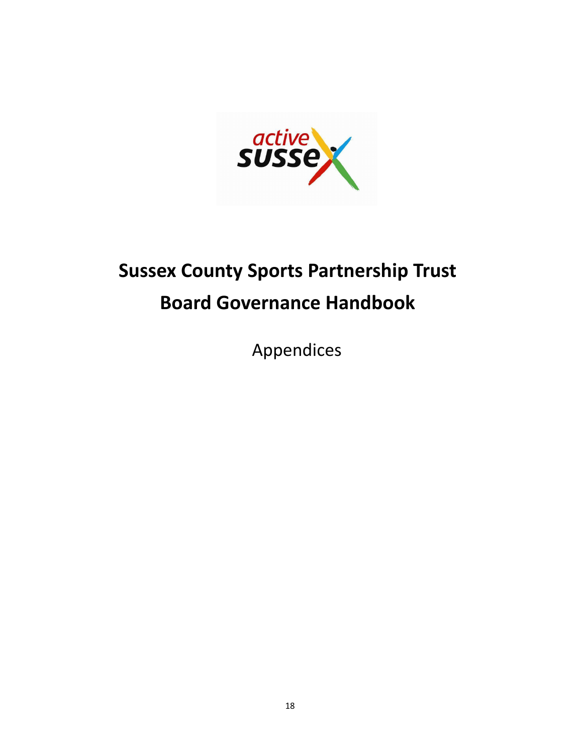

## **Sussex County Sports Partnership Trust Board Governance Handbook**

Appendices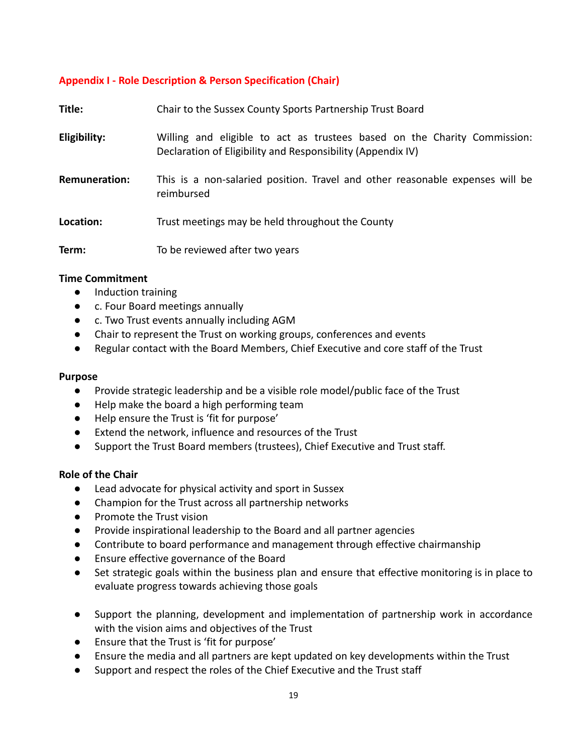## **Appendix I - Role Description & Person Specification (Chair)**

| Title:               | Chair to the Sussex County Sports Partnership Trust Board                                                                               |
|----------------------|-----------------------------------------------------------------------------------------------------------------------------------------|
| Eligibility:         | Willing and eligible to act as trustees based on the Charity Commission:<br>Declaration of Eligibility and Responsibility (Appendix IV) |
| <b>Remuneration:</b> | This is a non-salaried position. Travel and other reasonable expenses will be<br>reimbursed                                             |
| Location:            | Trust meetings may be held throughout the County                                                                                        |
| Term:                | To be reviewed after two years                                                                                                          |

#### **Time Commitment**

- **●** Induction training
- **●** c. Four Board meetings annually
- **●** c. Two Trust events annually including AGM
- **●** Chair to represent the Trust on working groups, conferences and events
- **●** Regular contact with the Board Members, Chief Executive and core staff of the Trust

#### **Purpose**

- **●** Provide strategic leadership and be a visible role model/public face of the Trust
- **●** Help make the board a high performing team
- **●** Help ensure the Trust is 'fit for purpose'
- **●** Extend the network, influence and resources of the Trust
- **●** Support the Trust Board members (trustees), Chief Executive and Trust staff.

## **Role of the Chair**

- **●** Lead advocate for physical activity and sport in Sussex
- **●** Champion for the Trust across all partnership networks
- **●** Promote the Trust vision
- **●** Provide inspirational leadership to the Board and all partner agencies
- **●** Contribute to board performance and management through effective chairmanship
- **●** Ensure effective governance of the Board
- **●** Set strategic goals within the business plan and ensure that effective monitoring is in place to evaluate progress towards achieving those goals
- Support the planning, development and implementation of partnership work in accordance with the vision aims and objectives of the Trust
- Ensure that the Trust is 'fit for purpose'
- Ensure the media and all partners are kept updated on key developments within the Trust
- Support and respect the roles of the Chief Executive and the Trust staff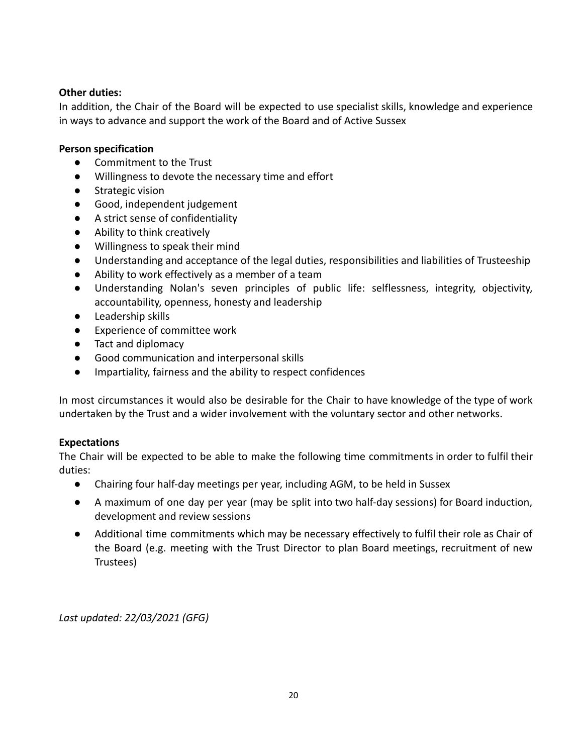## **Other duties:**

In addition, the Chair of the Board will be expected to use specialist skills, knowledge and experience in ways to advance and support the work of the Board and of Active Sussex

## **Person specification**

- **●** Commitment to the Trust
- **●** Willingness to devote the necessary time and effort
- **●** Strategic vision
- **●** Good, independent judgement
- **●** A strict sense of confidentiality
- **●** Ability to think creatively
- **●** Willingness to speak their mind
- **●** Understanding and acceptance of the legal duties, responsibilities and liabilities of Trusteeship
- **●** Ability to work effectively as a member of a team
- **●** Understanding Nolan's seven principles of public life: selflessness, integrity, objectivity, accountability, openness, honesty and leadership
- **●** Leadership skills
- **Experience of committee work**
- **●** Tact and diplomacy
- **●** Good communication and interpersonal skills
- **●** Impartiality, fairness and the ability to respect confidences

In most circumstances it would also be desirable for the Chair to have knowledge of the type of work undertaken by the Trust and a wider involvement with the voluntary sector and other networks.

## **Expectations**

The Chair will be expected to be able to make the following time commitments in order to fulfil their duties:

- **●** Chairing four half-day meetings per year, including AGM, to be held in Sussex
- **●** A maximum of one day per year (may be split into two half-day sessions) for Board induction, development and review sessions
- **●** Additional time commitments which may be necessary effectively to fulfil their role as Chair of the Board (e.g. meeting with the Trust Director to plan Board meetings, recruitment of new Trustees)

*Last updated: 22/03/2021 (GFG)*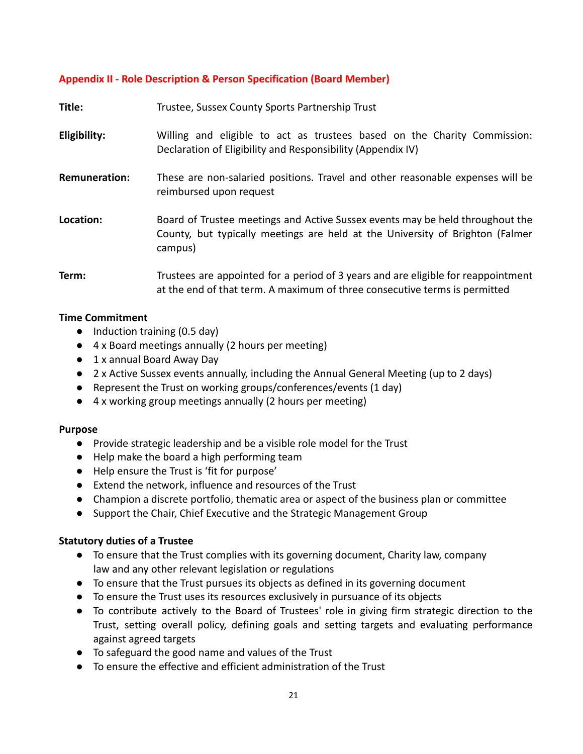## **Appendix II - Role Description & Person Specification (Board Member)**

| Title:               | Trustee, Sussex County Sports Partnership Trust                                                                                                                           |  |
|----------------------|---------------------------------------------------------------------------------------------------------------------------------------------------------------------------|--|
| Eligibility:         | Willing and eligible to act as trustees based on the Charity Commission:<br>Declaration of Eligibility and Responsibility (Appendix IV)                                   |  |
| <b>Remuneration:</b> | These are non-salaried positions. Travel and other reasonable expenses will be<br>reimbursed upon request                                                                 |  |
| Location:            | Board of Trustee meetings and Active Sussex events may be held throughout the<br>County, but typically meetings are held at the University of Brighton (Falmer<br>campus) |  |
| Term:                | Trustees are appointed for a period of 3 years and are eligible for reappointment<br>at the end of that term. A maximum of three consecutive terms is permitted           |  |

#### **Time Commitment**

- Induction training (0.5 day)
- 4 x Board meetings annually (2 hours per meeting)
- 1 x annual Board Away Day
- 2 x Active Sussex events annually, including the Annual General Meeting (up to 2 days)
- Represent the Trust on working groups/conferences/events (1 day)
- 4 x working group meetings annually (2 hours per meeting)

#### **Purpose**

- Provide strategic leadership and be a visible role model for the Trust
- Help make the board a high performing team
- Help ensure the Trust is 'fit for purpose'
- Extend the network, influence and resources of the Trust
- Champion a discrete portfolio, thematic area or aspect of the business plan or committee
- Support the Chair, Chief Executive and the Strategic Management Group

## **Statutory duties of a Trustee**

- To ensure that the Trust complies with its governing document, Charity law, company law and any other relevant legislation or regulations
- To ensure that the Trust pursues its objects as defined in its governing document
- To ensure the Trust uses its resources exclusively in pursuance of its objects
- To contribute actively to the Board of Trustees' role in giving firm strategic direction to the Trust, setting overall policy, defining goals and setting targets and evaluating performance against agreed targets
- To safeguard the good name and values of the Trust
- To ensure the effective and efficient administration of the Trust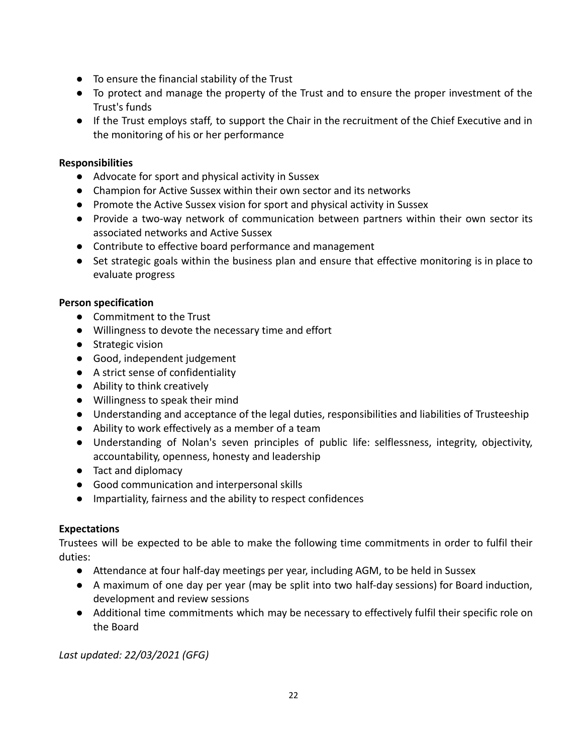- To ensure the financial stability of the Trust
- To protect and manage the property of the Trust and to ensure the proper investment of the Trust's funds
- If the Trust employs staff, to support the Chair in the recruitment of the Chief Executive and in the monitoring of his or her performance

## **Responsibilities**

- Advocate for sport and physical activity in Sussex
- Champion for Active Sussex within their own sector and its networks
- Promote the Active Sussex vision for sport and physical activity in Sussex
- Provide a two-way network of communication between partners within their own sector its associated networks and Active Sussex
- Contribute to effective board performance and management
- Set strategic goals within the business plan and ensure that effective monitoring is in place to evaluate progress

## **Person specification**

- Commitment to the Trust
- Willingness to devote the necessary time and effort
- Strategic vision
- Good, independent judgement
- A strict sense of confidentiality
- Ability to think creatively
- Willingness to speak their mind
- Understanding and acceptance of the legal duties, responsibilities and liabilities of Trusteeship
- Ability to work effectively as a member of a team
- Understanding of Nolan's seven principles of public life: selflessness, integrity, objectivity, accountability, openness, honesty and leadership
- Tact and diplomacy
- Good communication and interpersonal skills
- Impartiality, fairness and the ability to respect confidences

## **Expectations**

Trustees will be expected to be able to make the following time commitments in order to fulfil their duties:

- Attendance at four half-day meetings per year, including AGM, to be held in Sussex
- A maximum of one day per year (may be split into two half-day sessions) for Board induction, development and review sessions
- Additional time commitments which may be necessary to effectively fulfil their specific role on the Board

*Last updated: 22/03/2021 (GFG)*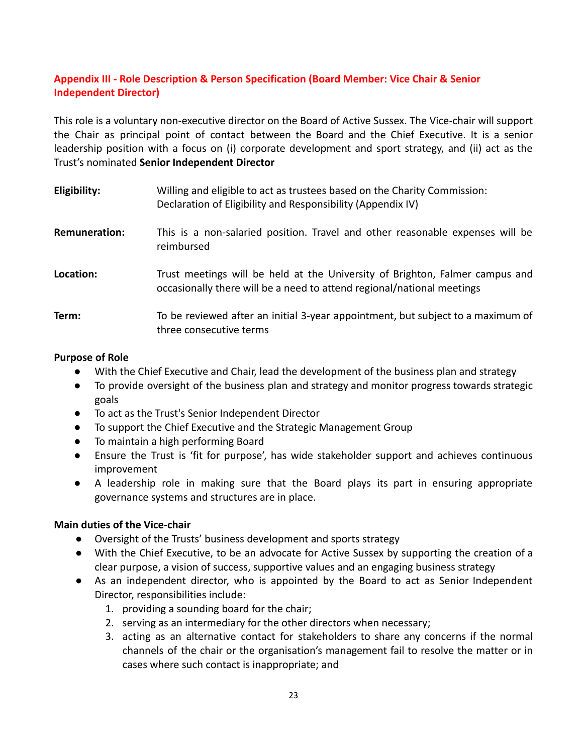## **Appendix III - Role Description & Person Specification (Board Member: Vice Chair & Senior Independent Director)**

This role is a voluntary non-executive director on the Board of Active Sussex. The Vice-chair will support the Chair as principal point of contact between the Board and the Chief Executive. It is a senior leadership position with a focus on (i) corporate development and sport strategy, and (ii) act as the Trust's nominated **Senior Independent Director**

| Eligibility:         | Willing and eligible to act as trustees based on the Charity Commission:<br>Declaration of Eligibility and Responsibility (Appendix IV)                |
|----------------------|--------------------------------------------------------------------------------------------------------------------------------------------------------|
| <b>Remuneration:</b> | This is a non-salaried position. Travel and other reasonable expenses will be<br>reimbursed                                                            |
| Location:            | Trust meetings will be held at the University of Brighton, Falmer campus and<br>occasionally there will be a need to attend regional/national meetings |
| Term:                | To be reviewed after an initial 3-year appointment, but subject to a maximum of<br>three consecutive terms                                             |

## **Purpose of Role**

- With the Chief Executive and Chair, lead the development of the business plan and strategy
- To provide oversight of the business plan and strategy and monitor progress towards strategic goals
- To act as the Trust's Senior Independent Director
- To support the Chief Executive and the Strategic Management Group
- To maintain a high performing Board
- Ensure the Trust is 'fit for purpose', has wide stakeholder support and achieves continuous improvement
- A leadership role in making sure that the Board plays its part in ensuring appropriate governance systems and structures are in place.

## **Main duties of the Vice-chair**

- Oversight of the Trusts' business development and sports strategy
- With the Chief Executive, to be an advocate for Active Sussex by supporting the creation of a clear purpose, a vision of success, supportive values and an engaging business strategy
- As an independent director, who is appointed by the Board to act as Senior Independent Director, responsibilities include:
	- 1. providing a sounding board for the chair;
	- 2. serving as an intermediary for the other directors when necessary;
	- 3. acting as an alternative contact for stakeholders to share any concerns if the normal channels of the chair or the organisation's management fail to resolve the matter or in cases where such contact is inappropriate; and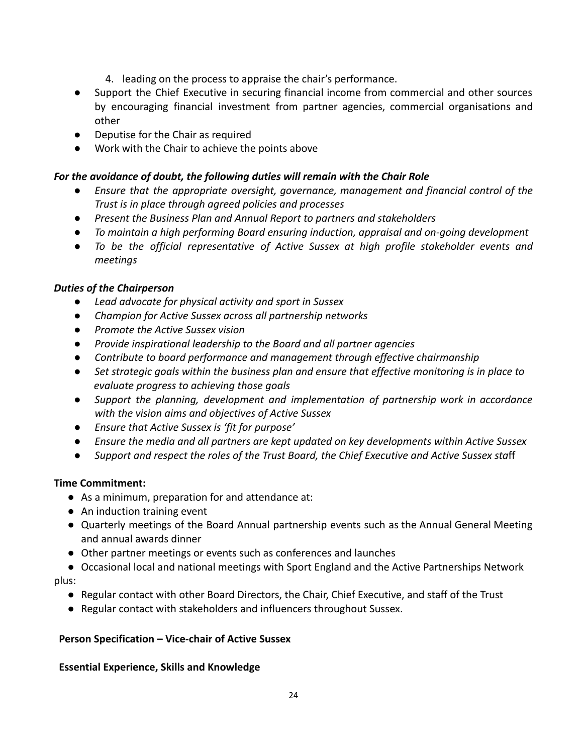- 4. leading on the process to appraise the chair's performance.
- Support the Chief Executive in securing financial income from commercial and other sources by encouraging financial investment from partner agencies, commercial organisations and other
- Deputise for the Chair as required
- Work with the Chair to achieve the points above

## *For the avoidance of doubt, the following duties will remain with the Chair Role*

- *● Ensure that the appropriate oversight, governance, management and financial control of the Trust is in place through agreed policies and processes*
- *● Present the Business Plan and Annual Report to partners and stakeholders*
- *● To maintain a high performing Board ensuring induction, appraisal and on-going development*
- *● To be the official representative of Active Sussex at high profile stakeholder events and meetings*

## *Duties of the Chairperson*

- *● Lead advocate for physical activity and sport in Sussex*
- *● Champion for Active Sussex across all partnership networks*
- *● Promote the Active Sussex vision*
- *● Provide inspirational leadership to the Board and all partner agencies*
- *● Contribute to board performance and management through effective chairmanship*
- *● Set strategic goals within the business plan and ensure that effective monitoring is in place to evaluate progress to achieving those goals*
- *● Support the planning, development and implementation of partnership work in accordance with the vision aims and objectives of Active Sussex*
- *● Ensure that Active Sussex is 'fit for purpose'*
- *● Ensure the media and all partners are kept updated on key developments within Active Sussex*
- *● Support and respect the roles of the Trust Board, the Chief Executive and Active Sussex sta*ff

## **Time Commitment:**

- As a minimum, preparation for and attendance at:
- An induction training event
- Quarterly meetings of the Board Annual partnership events such as the Annual General Meeting and annual awards dinner
- Other partner meetings or events such as conferences and launches
- Occasional local and national meetings with Sport England and the Active Partnerships Network plus:
	- Regular contact with other Board Directors, the Chair, Chief Executive, and staff of the Trust
	- Regular contact with stakeholders and influencers throughout Sussex.

## **Person Specification – Vice-chair of Active Sussex**

## **Essential Experience, Skills and Knowledge**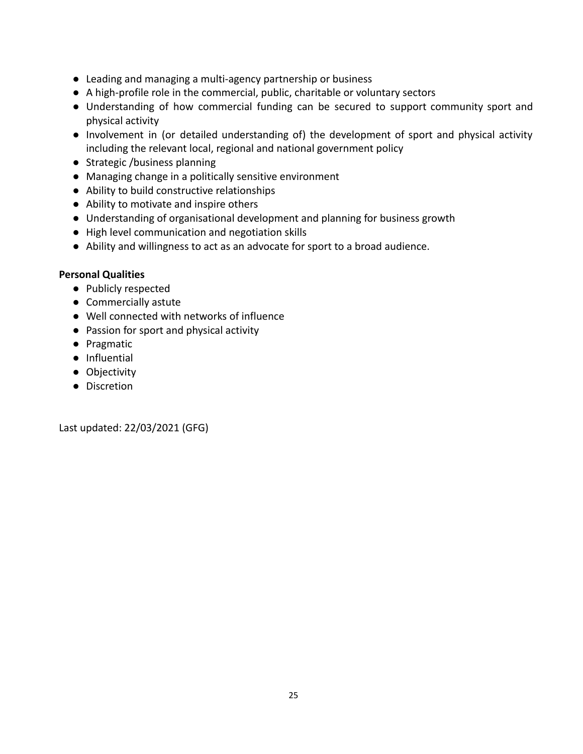- Leading and managing a multi-agency partnership or business
- A high-profile role in the commercial, public, charitable or voluntary sectors
- Understanding of how commercial funding can be secured to support community sport and physical activity
- Involvement in (or detailed understanding of) the development of sport and physical activity including the relevant local, regional and national government policy
- Strategic /business planning
- Managing change in a politically sensitive environment
- Ability to build constructive relationships
- Ability to motivate and inspire others
- Understanding of organisational development and planning for business growth
- High level communication and negotiation skills
- Ability and willingness to act as an advocate for sport to a broad audience.

## **Personal Qualities**

- Publicly respected
- Commercially astute
- Well connected with networks of influence
- Passion for sport and physical activity
- Pragmatic
- Influential
- Objectivity
- Discretion

Last updated: 22/03/2021 (GFG)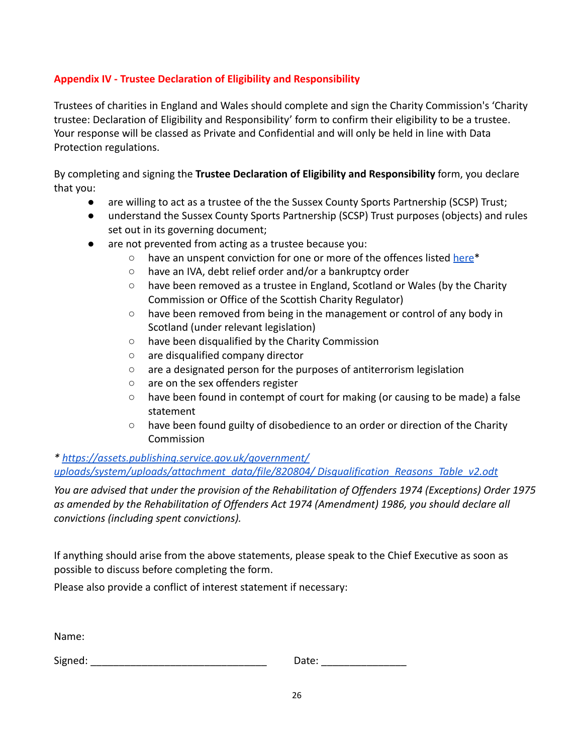## **Appendix IV - Trustee Declaration of Eligibility and Responsibility**

Trustees of charities in England and Wales should complete and sign the Charity Commission's 'Charity trustee: Declaration of Eligibility and Responsibility' form to confirm their eligibility to be a trustee. Your response will be classed as Private and Confidential and will only be held in line with Data Protection regulations.

By completing and signing the **Trustee Declaration of Eligibility and Responsibility** form, you declare that you:

- are willing to act as a trustee of the the Sussex County Sports Partnership (SCSP) Trust;
- understand the Sussex County Sports Partnership (SCSP) Trust purposes (objects) and rules set out in its governing document;
- are not prevented from acting as a trustee because you:
	- have an unspent conviction for one or more of the offences listed [here](https://assets.publishing.service.gov.uk/government/uploads/system/uploads/attachment_data/file/673797/Auto_disqualification_table_v1.1.pdf)<sup>\*</sup>
	- have an IVA, debt relief order and/or a bankruptcy order
	- have been removed as a trustee in England, Scotland or Wales (by the Charity Commission or Office of the Scottish Charity Regulator)
	- have been removed from being in the management or control of any body in Scotland (under relevant legislation)
	- have been disqualified by the Charity Commission
	- are disqualified company director
	- are a designated person for the purposes of antiterrorism legislation
	- are on the sex offenders register
	- $\circ$  have been found in contempt of court for making (or causing to be made) a false statement
	- have been found guilty of disobedience to an order or direction of the Charity Commission

*\* <https://assets.publishing.service.gov.uk/government/> [uploads/system/uploads/attachment\\_data/file/820804/](https://assets.publishing.service.gov.uk/government/) Disqualification\_Reasons\_Table\_v2.odt*

*You are advised that under the provision of the Rehabilitation of Offenders 1974 (Exceptions) Order 1975 as amended by the Rehabilitation of Offenders Act 1974 (Amendment) 1986, you should declare all convictions (including spent convictions).*

If anything should arise from the above statements, please speak to the Chief Executive as soon as possible to discuss before completing the form.

Please also provide a conflict of interest statement if necessary:

Name:

| Signed: | Jale. |
|---------|-------|
|         |       |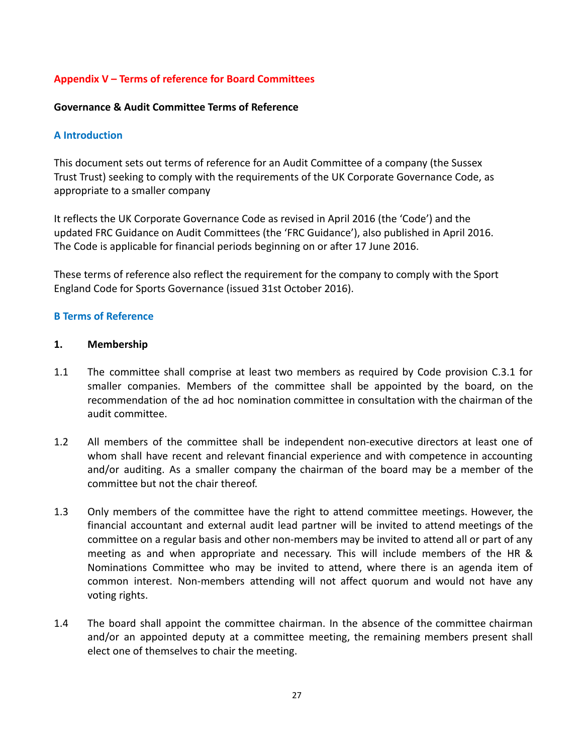## **Appendix V – Terms of reference for Board Committees**

#### **Governance & Audit Committee Terms of Reference**

#### **A Introduction**

This document sets out terms of reference for an Audit Committee of a company (the Sussex Trust Trust) seeking to comply with the requirements of the UK Corporate Governance Code, as appropriate to a smaller company

It reflects the UK Corporate Governance Code as revised in April 2016 (the 'Code') and the updated FRC Guidance on Audit Committees (the 'FRC Guidance'), also published in April 2016. The Code is applicable for financial periods beginning on or after 17 June 2016.

These terms of reference also reflect the requirement for the company to comply with the Sport England Code for Sports Governance (issued 31st October 2016).

#### **B Terms of Reference**

#### **1. Membership**

- 1.1 The committee shall comprise at least two members as required by Code provision C.3.1 for smaller companies. Members of the committee shall be appointed by the board, on the recommendation of the ad hoc nomination committee in consultation with the chairman of the audit committee.
- 1.2 All members of the committee shall be independent non-executive directors at least one of whom shall have recent and relevant financial experience and with competence in accounting and/or auditing. As a smaller company the chairman of the board may be a member of the committee but not the chair thereof.
- 1.3 Only members of the committee have the right to attend committee meetings. However, the financial accountant and external audit lead partner will be invited to attend meetings of the committee on a regular basis and other non-members may be invited to attend all or part of any meeting as and when appropriate and necessary. This will include members of the HR & Nominations Committee who may be invited to attend, where there is an agenda item of common interest. Non-members attending will not affect quorum and would not have any voting rights.
- 1.4 The board shall appoint the committee chairman. In the absence of the committee chairman and/or an appointed deputy at a committee meeting, the remaining members present shall elect one of themselves to chair the meeting.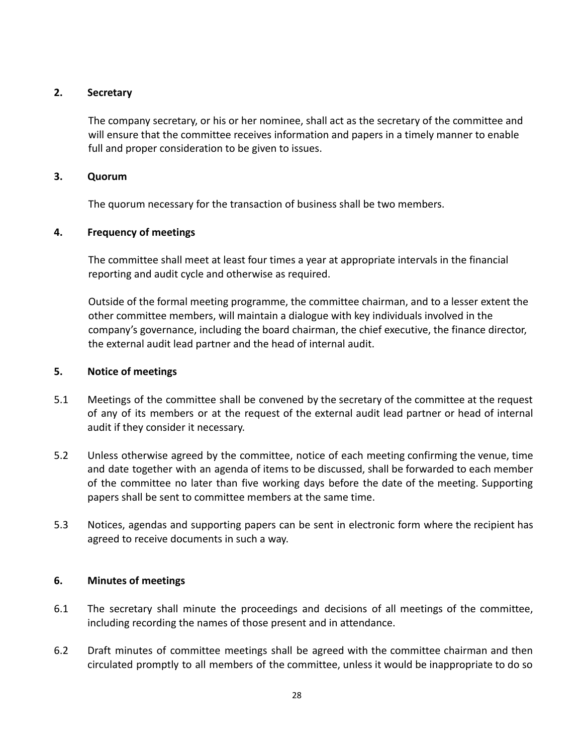## **2. Secretary**

The company secretary, or his or her nominee, shall act as the secretary of the committee and will ensure that the committee receives information and papers in a timely manner to enable full and proper consideration to be given to issues.

#### **3. Quorum**

The quorum necessary for the transaction of business shall be two members.

## **4. Frequency of meetings**

The committee shall meet at least four times a year at appropriate intervals in the financial reporting and audit cycle and otherwise as required.

Outside of the formal meeting programme, the committee chairman, and to a lesser extent the other committee members, will maintain a dialogue with key individuals involved in the company's governance, including the board chairman, the chief executive, the finance director, the external audit lead partner and the head of internal audit.

## **5. Notice of meetings**

- 5.1 Meetings of the committee shall be convened by the secretary of the committee at the request of any of its members or at the request of the external audit lead partner or head of internal audit if they consider it necessary.
- 5.2 Unless otherwise agreed by the committee, notice of each meeting confirming the venue, time and date together with an agenda of items to be discussed, shall be forwarded to each member of the committee no later than five working days before the date of the meeting. Supporting papers shall be sent to committee members at the same time.
- 5.3 Notices, agendas and supporting papers can be sent in electronic form where the recipient has agreed to receive documents in such a way.

## **6. Minutes of meetings**

- 6.1 The secretary shall minute the proceedings and decisions of all meetings of the committee, including recording the names of those present and in attendance.
- 6.2 Draft minutes of committee meetings shall be agreed with the committee chairman and then circulated promptly to all members of the committee, unless it would be inappropriate to do so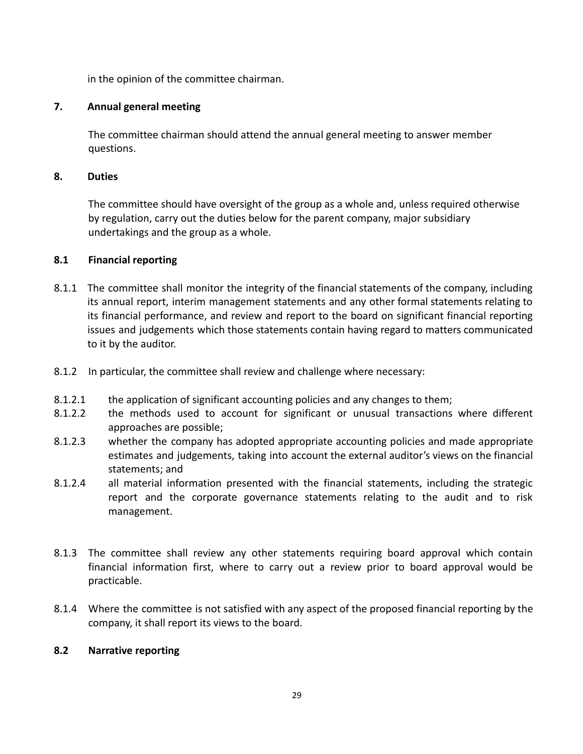in the opinion of the committee chairman.

## **7. Annual general meeting**

The committee chairman should attend the annual general meeting to answer member questions.

## **8. Duties**

The committee should have oversight of the group as a whole and, unless required otherwise by regulation, carry out the duties below for the parent company, major subsidiary undertakings and the group as a whole.

## **8.1 Financial reporting**

- 8.1.1 The committee shall monitor the integrity of the financial statements of the company, including its annual report, interim management statements and any other formal statements relating to its financial performance, and review and report to the board on significant financial reporting issues and judgements which those statements contain having regard to matters communicated to it by the auditor.
- 8.1.2 In particular, the committee shall review and challenge where necessary:
- 8.1.2.1 the application of significant accounting policies and any changes to them;
- 8.1.2.2 the methods used to account for significant or unusual transactions where different approaches are possible;
- 8.1.2.3 whether the company has adopted appropriate accounting policies and made appropriate estimates and judgements, taking into account the external auditor's views on the financial statements; and
- 8.1.2.4 all material information presented with the financial statements, including the strategic report and the corporate governance statements relating to the audit and to risk management.
- 8.1.3 The committee shall review any other statements requiring board approval which contain financial information first, where to carry out a review prior to board approval would be practicable.
- 8.1.4 Where the committee is not satisfied with any aspect of the proposed financial reporting by the company, it shall report its views to the board.

## **8.2 Narrative reporting**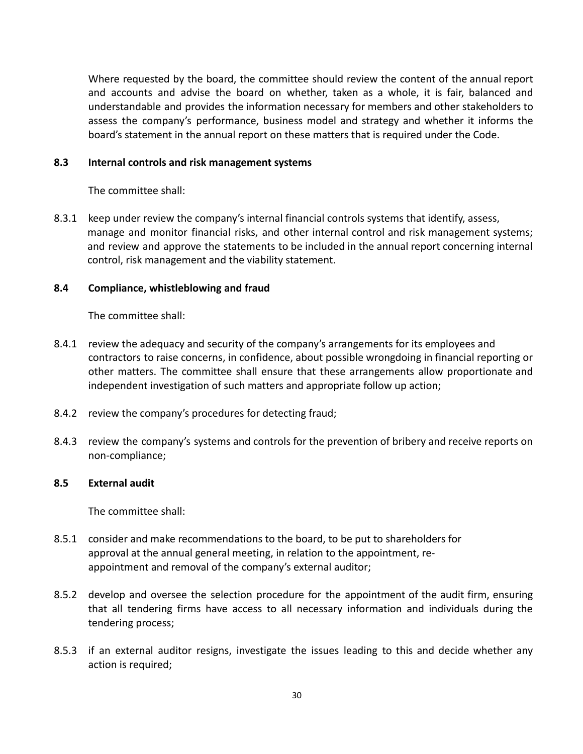Where requested by the board, the committee should review the content of the annual report and accounts and advise the board on whether, taken as a whole, it is fair, balanced and understandable and provides the information necessary for members and other stakeholders to assess the company's performance, business model and strategy and whether it informs the board's statement in the annual report on these matters that is required under the Code.

#### **8.3 Internal controls and risk management systems**

The committee shall:

8.3.1 keep under review the company's internal financial controls systems that identify, assess, manage and monitor financial risks, and other internal control and risk management systems; and review and approve the statements to be included in the annual report concerning internal control, risk management and the viability statement.

#### **8.4 Compliance, whistleblowing and fraud**

The committee shall:

- 8.4.1 review the adequacy and security of the company's arrangements for its employees and contractors to raise concerns, in confidence, about possible wrongdoing in financial reporting or other matters. The committee shall ensure that these arrangements allow proportionate and independent investigation of such matters and appropriate follow up action;
- 8.4.2 review the company's procedures for detecting fraud;
- 8.4.3 review the company's systems and controls for the prevention of bribery and receive reports on non-compliance;

#### **8.5 External audit**

The committee shall:

- 8.5.1 consider and make recommendations to the board, to be put to shareholders for approval at the annual general meeting, in relation to the appointment, reappointment and removal of the company's external auditor;
- 8.5.2 develop and oversee the selection procedure for the appointment of the audit firm, ensuring that all tendering firms have access to all necessary information and individuals during the tendering process;
- 8.5.3 if an external auditor resigns, investigate the issues leading to this and decide whether any action is required;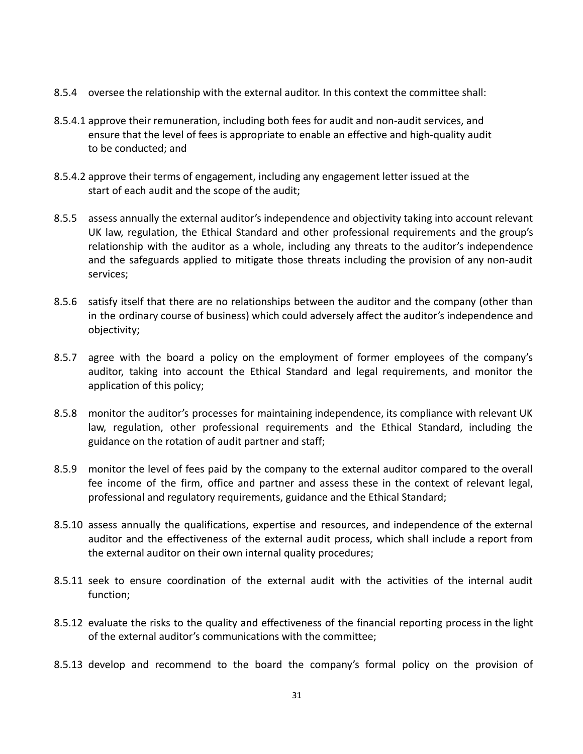- 8.5.4 oversee the relationship with the external auditor. In this context the committee shall:
- 8.5.4.1 approve their remuneration, including both fees for audit and non-audit services, and ensure that the level of fees is appropriate to enable an effective and high-quality audit to be conducted; and
- 8.5.4.2 approve their terms of engagement, including any engagement letter issued at the start of each audit and the scope of the audit;
- 8.5.5 assess annually the external auditor's independence and objectivity taking into account relevant UK law, regulation, the Ethical Standard and other professional requirements and the group's relationship with the auditor as a whole, including any threats to the auditor's independence and the safeguards applied to mitigate those threats including the provision of any non-audit services;
- 8.5.6 satisfy itself that there are no relationships between the auditor and the company (other than in the ordinary course of business) which could adversely affect the auditor's independence and objectivity;
- 8.5.7 agree with the board a policy on the employment of former employees of the company's auditor, taking into account the Ethical Standard and legal requirements, and monitor the application of this policy;
- 8.5.8 monitor the auditor's processes for maintaining independence, its compliance with relevant UK law, regulation, other professional requirements and the Ethical Standard, including the guidance on the rotation of audit partner and staff;
- 8.5.9 monitor the level of fees paid by the company to the external auditor compared to the overall fee income of the firm, office and partner and assess these in the context of relevant legal, professional and regulatory requirements, guidance and the Ethical Standard;
- 8.5.10 assess annually the qualifications, expertise and resources, and independence of the external auditor and the effectiveness of the external audit process, which shall include a report from the external auditor on their own internal quality procedures;
- 8.5.11 seek to ensure coordination of the external audit with the activities of the internal audit function;
- 8.5.12 evaluate the risks to the quality and effectiveness of the financial reporting process in the light of the external auditor's communications with the committee;
- 8.5.13 develop and recommend to the board the company's formal policy on the provision of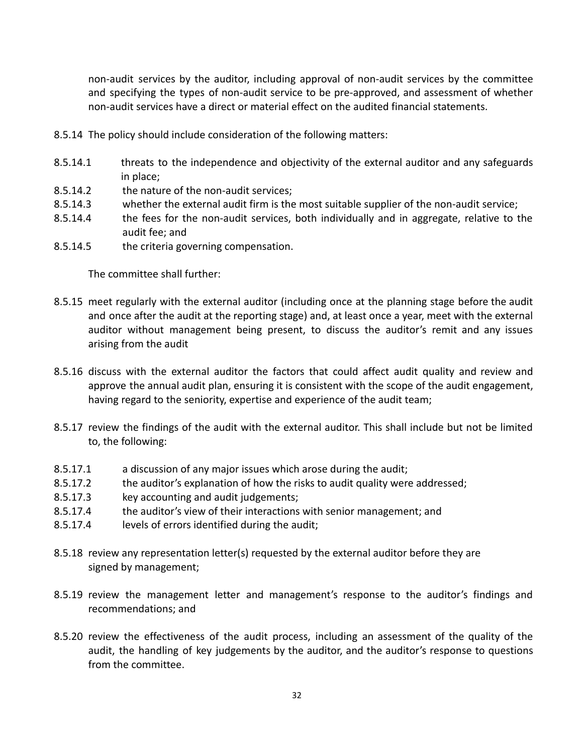non-audit services by the auditor, including approval of non-audit services by the committee and specifying the types of non-audit service to be pre-approved, and assessment of whether non-audit services have a direct or material effect on the audited financial statements.

- 8.5.14 The policy should include consideration of the following matters:
- 8.5.14.1 threats to the independence and objectivity of the external auditor and any safeguards in place;
- 8.5.14.2 the nature of the non-audit services;
- 8.5.14.3 whether the external audit firm is the most suitable supplier of the non-audit service;
- 8.5.14.4 the fees for the non-audit services, both individually and in aggregate, relative to the audit fee; and
- 8.5.14.5 the criteria governing compensation.

The committee shall further:

- 8.5.15 meet regularly with the external auditor (including once at the planning stage before the audit and once after the audit at the reporting stage) and, at least once a year, meet with the external auditor without management being present, to discuss the auditor's remit and any issues arising from the audit
- 8.5.16 discuss with the external auditor the factors that could affect audit quality and review and approve the annual audit plan, ensuring it is consistent with the scope of the audit engagement, having regard to the seniority, expertise and experience of the audit team;
- 8.5.17 review the findings of the audit with the external auditor. This shall include but not be limited to, the following:
- 8.5.17.1 a discussion of any major issues which arose during the audit;
- 8.5.17.2 the auditor's explanation of how the risks to audit quality were addressed;
- 8.5.17.3 key accounting and audit judgements;
- 8.5.17.4 the auditor's view of their interactions with senior management; and
- 8.5.17.4 levels of errors identified during the audit;
- 8.5.18 review any representation letter(s) requested by the external auditor before they are signed by management;
- 8.5.19 review the management letter and management's response to the auditor's findings and recommendations; and
- 8.5.20 review the effectiveness of the audit process, including an assessment of the quality of the audit, the handling of key judgements by the auditor, and the auditor's response to questions from the committee.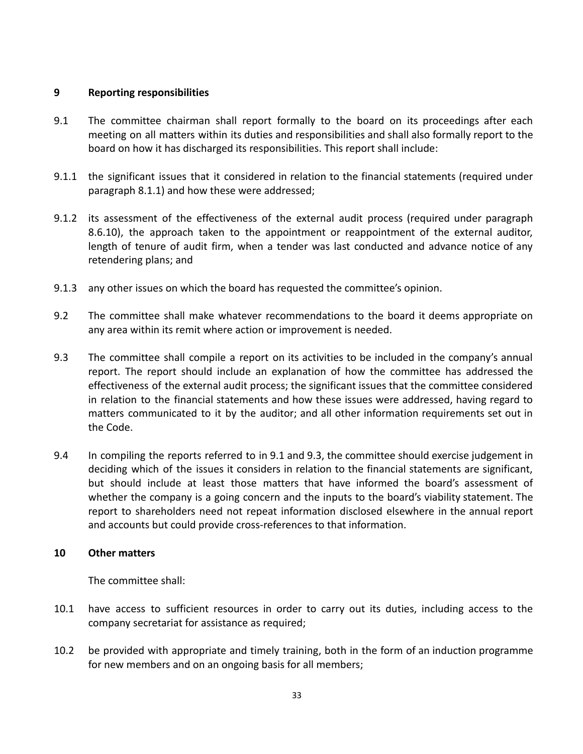## **9 Reporting responsibilities**

- 9.1 The committee chairman shall report formally to the board on its proceedings after each meeting on all matters within its duties and responsibilities and shall also formally report to the board on how it has discharged its responsibilities. This report shall include:
- 9.1.1 the significant issues that it considered in relation to the financial statements (required under paragraph 8.1.1) and how these were addressed;
- 9.1.2 its assessment of the effectiveness of the external audit process (required under paragraph 8.6.10), the approach taken to the appointment or reappointment of the external auditor, length of tenure of audit firm, when a tender was last conducted and advance notice of any retendering plans; and
- 9.1.3 any other issues on which the board has requested the committee's opinion.
- 9.2 The committee shall make whatever recommendations to the board it deems appropriate on any area within its remit where action or improvement is needed.
- 9.3 The committee shall compile a report on its activities to be included in the company's annual report. The report should include an explanation of how the committee has addressed the effectiveness of the external audit process; the significant issues that the committee considered in relation to the financial statements and how these issues were addressed, having regard to matters communicated to it by the auditor; and all other information requirements set out in the Code.
- 9.4 In compiling the reports referred to in 9.1 and 9.3, the committee should exercise judgement in deciding which of the issues it considers in relation to the financial statements are significant, but should include at least those matters that have informed the board's assessment of whether the company is a going concern and the inputs to the board's viability statement. The report to shareholders need not repeat information disclosed elsewhere in the annual report and accounts but could provide cross-references to that information.

#### **10 Other matters**

The committee shall:

- 10.1 have access to sufficient resources in order to carry out its duties, including access to the company secretariat for assistance as required;
- 10.2 be provided with appropriate and timely training, both in the form of an induction programme for new members and on an ongoing basis for all members;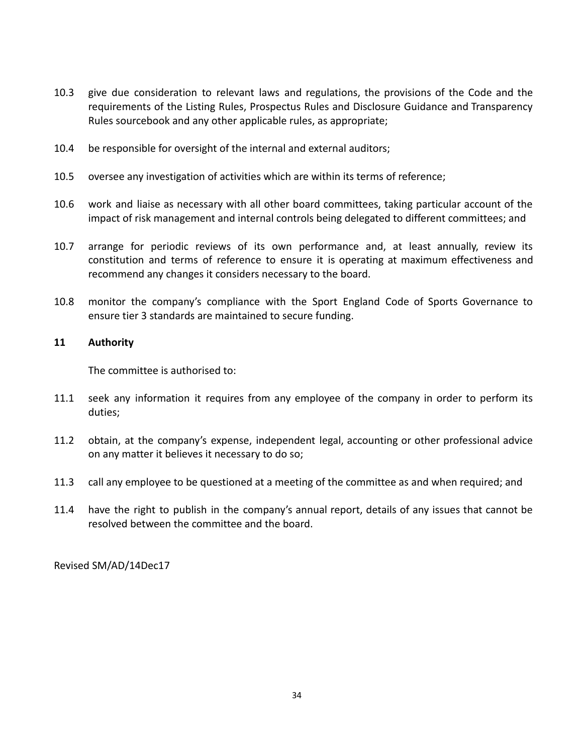- 10.3 give due consideration to relevant laws and regulations, the provisions of the Code and the requirements of the Listing Rules, Prospectus Rules and Disclosure Guidance and Transparency Rules sourcebook and any other applicable rules, as appropriate;
- 10.4 be responsible for oversight of the internal and external auditors;
- 10.5 oversee any investigation of activities which are within its terms of reference;
- 10.6 work and liaise as necessary with all other board committees, taking particular account of the impact of risk management and internal controls being delegated to different committees; and
- 10.7 arrange for periodic reviews of its own performance and, at least annually, review its constitution and terms of reference to ensure it is operating at maximum effectiveness and recommend any changes it considers necessary to the board.
- 10.8 monitor the company's compliance with the Sport England Code of Sports Governance to ensure tier 3 standards are maintained to secure funding.

#### **11 Authority**

The committee is authorised to:

- 11.1 seek any information it requires from any employee of the company in order to perform its duties;
- 11.2 obtain, at the company's expense, independent legal, accounting or other professional advice on any matter it believes it necessary to do so;
- 11.3 call any employee to be questioned at a meeting of the committee as and when required; and
- 11.4 have the right to publish in the company's annual report, details of any issues that cannot be resolved between the committee and the board.

Revised SM/AD/14Dec17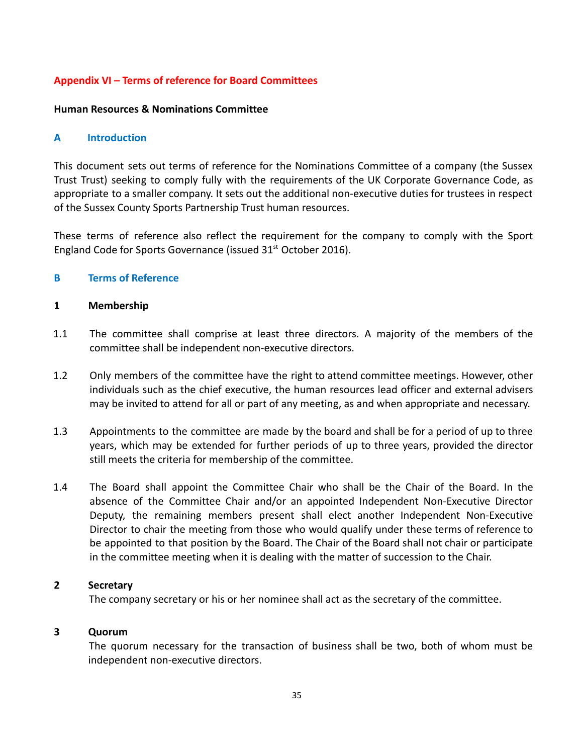## **Appendix VI – Terms of reference for Board Committees**

#### **Human Resources & Nominations Committee**

#### **A Introduction**

This document sets out terms of reference for the Nominations Committee of a company (the Sussex Trust Trust) seeking to comply fully with the requirements of the UK Corporate Governance Code, as appropriate to a smaller company. It sets out the additional non-executive duties for trustees in respect of the Sussex County Sports Partnership Trust human resources.

These terms of reference also reflect the requirement for the company to comply with the Sport England Code for Sports Governance (issued  $31<sup>st</sup>$  October 2016).

#### **B Terms of Reference**

#### **1 Membership**

- 1.1 The committee shall comprise at least three directors. A majority of the members of the committee shall be independent non-executive directors.
- 1.2 Only members of the committee have the right to attend committee meetings. However, other individuals such as the chief executive, the human resources lead officer and external advisers may be invited to attend for all or part of any meeting, as and when appropriate and necessary.
- 1.3 Appointments to the committee are made by the board and shall be for a period of up to three years, which may be extended for further periods of up to three years, provided the director still meets the criteria for membership of the committee.
- 1.4 The Board shall appoint the Committee Chair who shall be the Chair of the Board. In the absence of the Committee Chair and/or an appointed Independent Non-Executive Director Deputy, the remaining members present shall elect another Independent Non-Executive Director to chair the meeting from those who would qualify under these terms of reference to be appointed to that position by the Board. The Chair of the Board shall not chair or participate in the committee meeting when it is dealing with the matter of succession to the Chair.

#### **2 Secretary**

The company secretary or his or her nominee shall act as the secretary of the committee.

#### **3 Quorum**

The quorum necessary for the transaction of business shall be two, both of whom must be independent non-executive directors.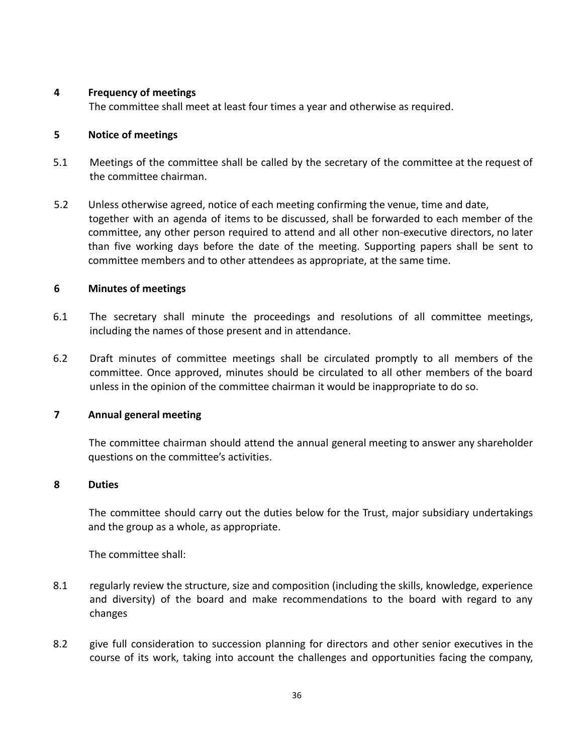## **4 Frequency of meetings**

The committee shall meet at least four times a year and otherwise as required.

## **5 Notice of meetings**

- 5.1 Meetings of the committee shall be called by the secretary of the committee at the request of the committee chairman.
- 5.2 Unless otherwise agreed, notice of each meeting confirming the venue, time and date, together with an agenda of items to be discussed, shall be forwarded to each member of the committee, any other person required to attend and all other non-executive directors, no later than five working days before the date of the meeting. Supporting papers shall be sent to committee members and to other attendees as appropriate, at the same time.

## **6 Minutes of meetings**

- 6.1 The secretary shall minute the proceedings and resolutions of all committee meetings, including the names of those present and in attendance.
- 6.2 Draft minutes of committee meetings shall be circulated promptly to all members of the committee. Once approved, minutes should be circulated to all other members of the board unless in the opinion of the committee chairman it would be inappropriate to do so.

## **7 Annual general meeting**

The committee chairman should attend the annual general meeting to answer any shareholder questions on the committee's activities.

## **8 Duties**

The committee should carry out the duties below for the Trust, major subsidiary undertakings and the group as a whole, as appropriate.

The committee shall:

- 8.1 regularly review the structure, size and composition (including the skills, knowledge, experience and diversity) of the board and make recommendations to the board with regard to any changes
- 8.2 give full consideration to succession planning for directors and other senior executives in the course of its work, taking into account the challenges and opportunities facing the company,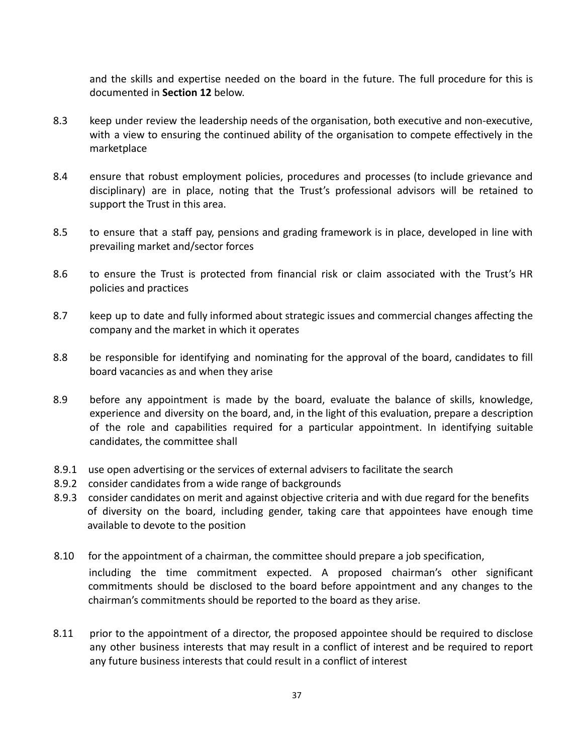and the skills and expertise needed on the board in the future. The full procedure for this is documented in **Section 12** below.

- 8.3 keep under review the leadership needs of the organisation, both executive and non-executive, with a view to ensuring the continued ability of the organisation to compete effectively in the marketplace
- 8.4 ensure that robust employment policies, procedures and processes (to include grievance and disciplinary) are in place, noting that the Trust's professional advisors will be retained to support the Trust in this area.
- 8.5 to ensure that a staff pay, pensions and grading framework is in place, developed in line with prevailing market and/sector forces
- 8.6 to ensure the Trust is protected from financial risk or claim associated with the Trust's HR policies and practices
- 8.7 keep up to date and fully informed about strategic issues and commercial changes affecting the company and the market in which it operates
- 8.8 be responsible for identifying and nominating for the approval of the board, candidates to fill board vacancies as and when they arise
- 8.9 before any appointment is made by the board, evaluate the balance of skills, knowledge, experience and diversity on the board, and, in the light of this evaluation, prepare a description of the role and capabilities required for a particular appointment. In identifying suitable candidates, the committee shall
- 8.9.1 use open advertising or the services of external advisers to facilitate the search
- 8.9.2 consider candidates from a wide range of backgrounds
- 8.9.3 consider candidates on merit and against objective criteria and with due regard for the benefits of diversity on the board, including gender, taking care that appointees have enough time available to devote to the position
- 8.10 for the appointment of a chairman, the committee should prepare a job specification, including the time commitment expected. A proposed chairman's other significant commitments should be disclosed to the board before appointment and any changes to the chairman's commitments should be reported to the board as they arise.
- 8.11 prior to the appointment of a director, the proposed appointee should be required to disclose any other business interests that may result in a conflict of interest and be required to report any future business interests that could result in a conflict of interest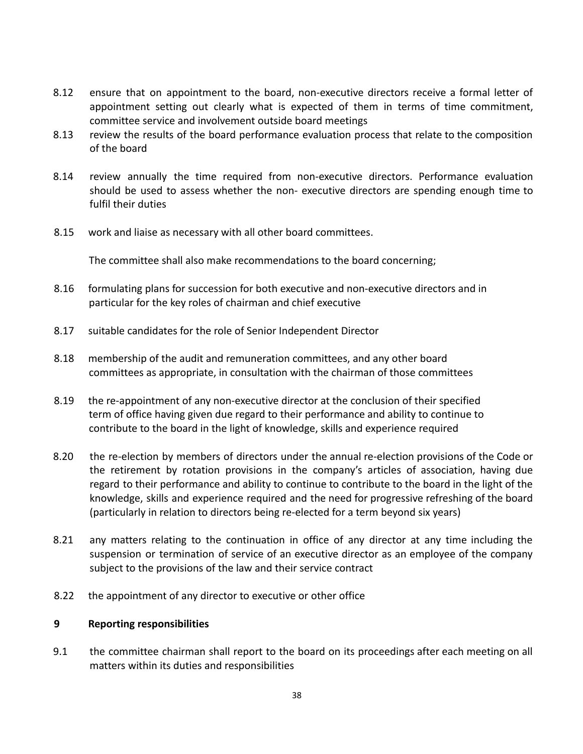- 8.12 ensure that on appointment to the board, non-executive directors receive a formal letter of appointment setting out clearly what is expected of them in terms of time commitment, committee service and involvement outside board meetings
- 8.13 review the results of the board performance evaluation process that relate to the composition of the board
- 8.14 review annually the time required from non-executive directors. Performance evaluation should be used to assess whether the non- executive directors are spending enough time to fulfil their duties
- 8.15 work and liaise as necessary with all other board committees.

The committee shall also make recommendations to the board concerning;

- 8.16 formulating plans for succession for both executive and non-executive directors and in particular for the key roles of chairman and chief executive
- 8.17 suitable candidates for the role of Senior Independent Director
- 8.18 membership of the audit and remuneration committees, and any other board committees as appropriate, in consultation with the chairman of those committees
- 8.19 the re-appointment of any non-executive director at the conclusion of their specified term of office having given due regard to their performance and ability to continue to contribute to the board in the light of knowledge, skills and experience required
- 8.20 the re-election by members of directors under the annual re-election provisions of the Code or the retirement by rotation provisions in the company's articles of association, having due regard to their performance and ability to continue to contribute to the board in the light of the knowledge, skills and experience required and the need for progressive refreshing of the board (particularly in relation to directors being re-elected for a term beyond six years)
- 8.21 any matters relating to the continuation in office of any director at any time including the suspension or termination of service of an executive director as an employee of the company subject to the provisions of the law and their service contract
- 8.22 the appointment of any director to executive or other office

#### **9 Reporting responsibilities**

9.1 the committee chairman shall report to the board on its proceedings after each meeting on all matters within its duties and responsibilities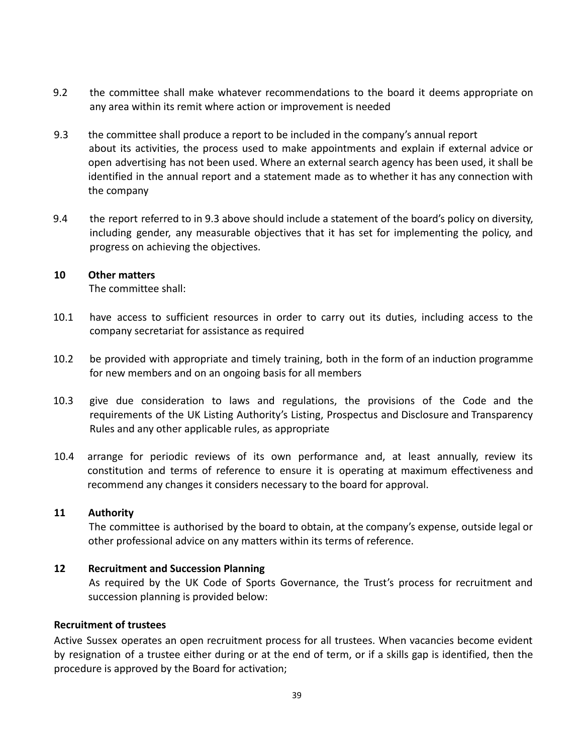- 9.2 the committee shall make whatever recommendations to the board it deems appropriate on any area within its remit where action or improvement is needed
- 9.3 the committee shall produce a report to be included in the company's annual report about its activities, the process used to make appointments and explain if external advice or open advertising has not been used. Where an external search agency has been used, it shall be identified in the annual report and a statement made as to whether it has any connection with the company
- 9.4 the report referred to in 9.3 above should include a statement of the board's policy on diversity, including gender, any measurable objectives that it has set for implementing the policy, and progress on achieving the objectives.

#### **10 Other matters**

The committee shall:

- 10.1 have access to sufficient resources in order to carry out its duties, including access to the company secretariat for assistance as required
- 10.2 be provided with appropriate and timely training, both in the form of an induction programme for new members and on an ongoing basis for all members
- 10.3 give due consideration to laws and regulations, the provisions of the Code and the requirements of the UK Listing Authority's Listing, Prospectus and Disclosure and Transparency Rules and any other applicable rules, as appropriate
- 10.4 arrange for periodic reviews of its own performance and, at least annually, review its constitution and terms of reference to ensure it is operating at maximum effectiveness and recommend any changes it considers necessary to the board for approval.

## **11 Authority**

The committee is authorised by the board to obtain, at the company's expense, outside legal or other professional advice on any matters within its terms of reference.

## **12 Recruitment and Succession Planning**

As required by the UK Code of Sports Governance, the Trust's process for recruitment and succession planning is provided below:

#### **Recruitment of trustees**

Active Sussex operates an open recruitment process for all trustees. When vacancies become evident by resignation of a trustee either during or at the end of term, or if a skills gap is identified, then the procedure is approved by the Board for activation;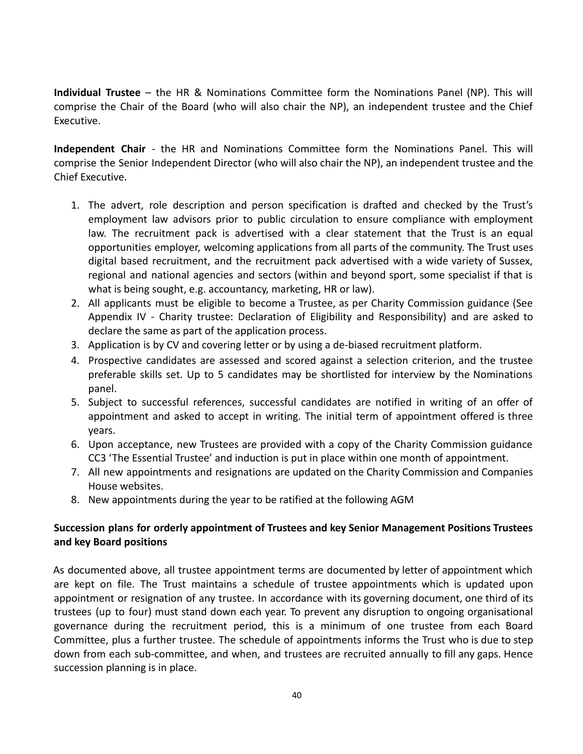**Individual Trustee** – the HR & Nominations Committee form the Nominations Panel (NP). This will comprise the Chair of the Board (who will also chair the NP), an independent trustee and the Chief Executive.

**Independent Chair** - the HR and Nominations Committee form the Nominations Panel. This will comprise the Senior Independent Director (who will also chair the NP), an independent trustee and the Chief Executive.

- 1. The advert, role description and person specification is drafted and checked by the Trust's employment law advisors prior to public circulation to ensure compliance with employment law. The recruitment pack is advertised with a clear statement that the Trust is an equal opportunities employer, welcoming applications from all parts of the community. The Trust uses digital based recruitment, and the recruitment pack advertised with a wide variety of Sussex, regional and national agencies and sectors (within and beyond sport, some specialist if that is what is being sought, e.g. accountancy, marketing, HR or law).
- 2. All applicants must be eligible to become a Trustee, as per Charity Commission guidance (See Appendix IV - Charity trustee: Declaration of Eligibility and Responsibility) and are asked to declare the same as part of the application process.
- 3. Application is by CV and covering letter or by using a de-biased recruitment platform.
- 4. Prospective candidates are assessed and scored against a selection criterion, and the trustee preferable skills set. Up to 5 candidates may be shortlisted for interview by the Nominations panel.
- 5. Subject to successful references, successful candidates are notified in writing of an offer of appointment and asked to accept in writing. The initial term of appointment offered is three years.
- 6. Upon acceptance, new Trustees are provided with a copy of the Charity Commission guidance CC3 'The Essential Trustee' and induction is put in place within one month of appointment.
- 7. All new appointments and resignations are updated on the Charity Commission and Companies House websites.
- 8. New appointments during the year to be ratified at the following AGM

## **Succession plans for orderly appointment of Trustees and key Senior Management Positions Trustees and key Board positions**

As documented above, all trustee appointment terms are documented by letter of appointment which are kept on file. The Trust maintains a schedule of trustee appointments which is updated upon appointment or resignation of any trustee. In accordance with its governing document, one third of its trustees (up to four) must stand down each year. To prevent any disruption to ongoing organisational governance during the recruitment period, this is a minimum of one trustee from each Board Committee, plus a further trustee. The schedule of appointments informs the Trust who is due to step down from each sub-committee, and when, and trustees are recruited annually to fill any gaps. Hence succession planning is in place.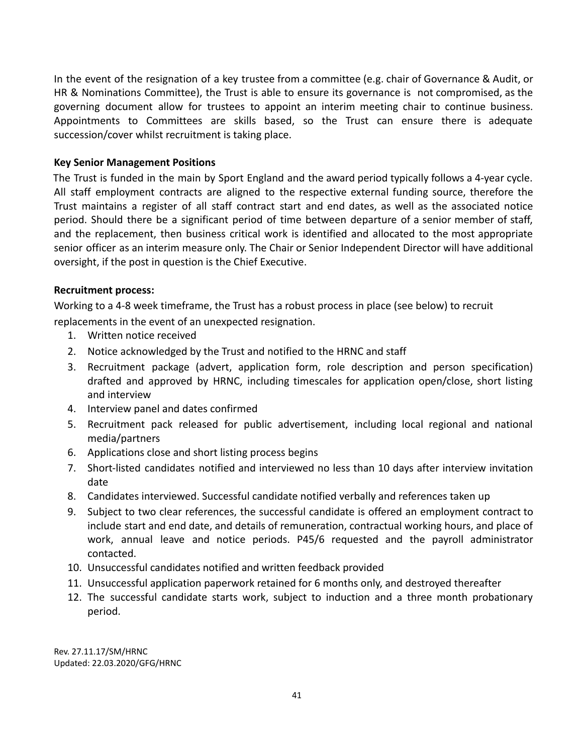In the event of the resignation of a key trustee from a committee (e.g. chair of Governance & Audit, or HR & Nominations Committee), the Trust is able to ensure its governance is not compromised, as the governing document allow for trustees to appoint an interim meeting chair to continue business. Appointments to Committees are skills based, so the Trust can ensure there is adequate succession/cover whilst recruitment is taking place.

## **Key Senior Management Positions**

The Trust is funded in the main by Sport England and the award period typically follows a 4-year cycle. All staff employment contracts are aligned to the respective external funding source, therefore the Trust maintains a register of all staff contract start and end dates, as well as the associated notice period. Should there be a significant period of time between departure of a senior member of staff, and the replacement, then business critical work is identified and allocated to the most appropriate senior officer as an interim measure only. The Chair or Senior Independent Director will have additional oversight, if the post in question is the Chief Executive.

#### **Recruitment process:**

Working to a 4-8 week timeframe, the Trust has a robust process in place (see below) to recruit replacements in the event of an unexpected resignation.

- 1. Written notice received
- 2. Notice acknowledged by the Trust and notified to the HRNC and staff
- 3. Recruitment package (advert, application form, role description and person specification) drafted and approved by HRNC, including timescales for application open/close, short listing and interview
- 4. Interview panel and dates confirmed
- 5. Recruitment pack released for public advertisement, including local regional and national media/partners
- 6. Applications close and short listing process begins
- 7. Short-listed candidates notified and interviewed no less than 10 days after interview invitation date
- 8. Candidates interviewed. Successful candidate notified verbally and references taken up
- 9. Subject to two clear references, the successful candidate is offered an employment contract to include start and end date, and details of remuneration, contractual working hours, and place of work, annual leave and notice periods. P45/6 requested and the payroll administrator contacted.
- 10. Unsuccessful candidates notified and written feedback provided
- 11. Unsuccessful application paperwork retained for 6 months only, and destroyed thereafter
- 12. The successful candidate starts work, subject to induction and a three month probationary period.

Rev. 27.11.17/SM/HRNC Updated: 22.03.2020/GFG/HRNC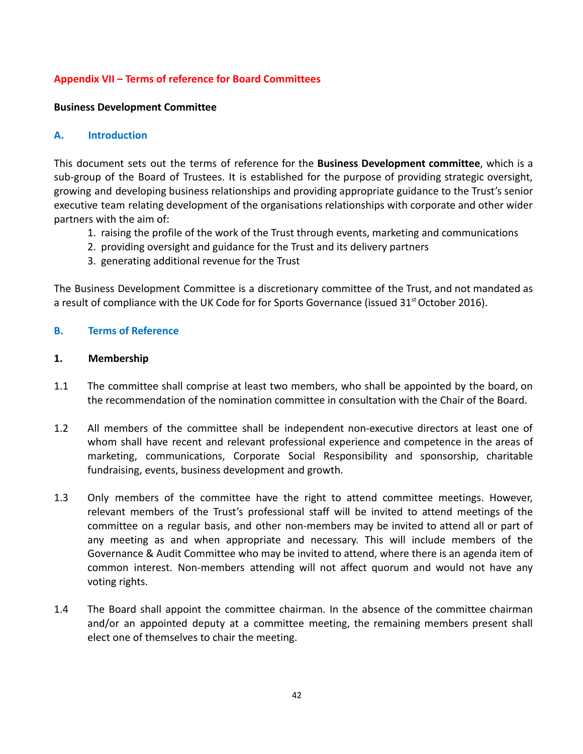## **Appendix VII – Terms of reference for Board Committees**

#### **Business Development Committee**

#### **A. Introduction**

This document sets out the terms of reference for the **Business Development committee**, which is a sub-group of the Board of Trustees. It is established for the purpose of providing strategic oversight, growing and developing business relationships and providing appropriate guidance to the Trust's senior executive team relating development of the organisations relationships with corporate and other wider partners with the aim of:

- 1. raising the profile of the work of the Trust through events, marketing and communications
- 2. providing oversight and guidance for the Trust and its delivery partners
- 3. generating additional revenue for the Trust

The Business Development Committee is a discretionary committee of the Trust, and not mandated as a result of compliance with the UK Code for for Sports Governance (issued  $31<sup>st</sup>$  October 2016).

#### **B. Terms of Reference**

#### **1. Membership**

- 1.1 The committee shall comprise at least two members, who shall be appointed by the board, on the recommendation of the nomination committee in consultation with the Chair of the Board.
- 1.2 All members of the committee shall be independent non-executive directors at least one of whom shall have recent and relevant professional experience and competence in the areas of marketing, communications, Corporate Social Responsibility and sponsorship, charitable fundraising, events, business development and growth.
- 1.3 Only members of the committee have the right to attend committee meetings. However, relevant members of the Trust's professional staff will be invited to attend meetings of the committee on a regular basis, and other non-members may be invited to attend all or part of any meeting as and when appropriate and necessary. This will include members of the Governance & Audit Committee who may be invited to attend, where there is an agenda item of common interest. Non-members attending will not affect quorum and would not have any voting rights.
- 1.4 The Board shall appoint the committee chairman. In the absence of the committee chairman and/or an appointed deputy at a committee meeting, the remaining members present shall elect one of themselves to chair the meeting.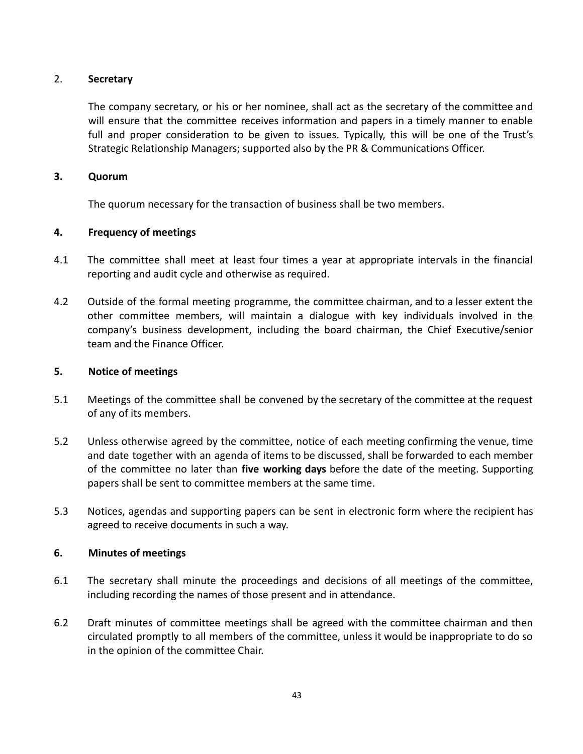## 2. **Secretary**

The company secretary, or his or her nominee, shall act as the secretary of the committee and will ensure that the committee receives information and papers in a timely manner to enable full and proper consideration to be given to issues. Typically, this will be one of the Trust's Strategic Relationship Managers; supported also by the PR & Communications Officer.

#### **3. Quorum**

The quorum necessary for the transaction of business shall be two members.

## **4. Frequency of meetings**

- 4.1 The committee shall meet at least four times a year at appropriate intervals in the financial reporting and audit cycle and otherwise as required.
- 4.2 Outside of the formal meeting programme, the committee chairman, and to a lesser extent the other committee members, will maintain a dialogue with key individuals involved in the company's business development, including the board chairman, the Chief Executive/senior team and the Finance Officer.

## **5. Notice of meetings**

- 5.1 Meetings of the committee shall be convened by the secretary of the committee at the request of any of its members.
- 5.2 Unless otherwise agreed by the committee, notice of each meeting confirming the venue, time and date together with an agenda of items to be discussed, shall be forwarded to each member of the committee no later than **five working days** before the date of the meeting. Supporting papers shall be sent to committee members at the same time.
- 5.3 Notices, agendas and supporting papers can be sent in electronic form where the recipient has agreed to receive documents in such a way.

#### **6. Minutes of meetings**

- 6.1 The secretary shall minute the proceedings and decisions of all meetings of the committee, including recording the names of those present and in attendance.
- 6.2 Draft minutes of committee meetings shall be agreed with the committee chairman and then circulated promptly to all members of the committee, unless it would be inappropriate to do so in the opinion of the committee Chair.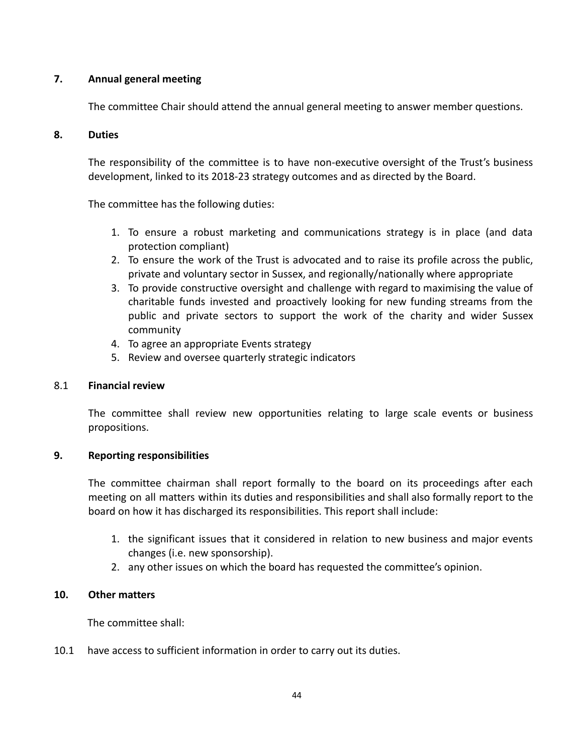## **7. Annual general meeting**

The committee Chair should attend the annual general meeting to answer member questions.

## **8. Duties**

The responsibility of the committee is to have non-executive oversight of the Trust's business development, linked to its 2018-23 strategy outcomes and as directed by the Board.

The committee has the following duties:

- 1. To ensure a robust marketing and communications strategy is in place (and data protection compliant)
- 2. To ensure the work of the Trust is advocated and to raise its profile across the public, private and voluntary sector in Sussex, and regionally/nationally where appropriate
- 3. To provide constructive oversight and challenge with regard to maximising the value of charitable funds invested and proactively looking for new funding streams from the public and private sectors to support the work of the charity and wider Sussex community
- 4. To agree an appropriate Events strategy
- 5. Review and oversee quarterly strategic indicators

## 8.1 **Financial review**

The committee shall review new opportunities relating to large scale events or business propositions.

## **9. Reporting responsibilities**

The committee chairman shall report formally to the board on its proceedings after each meeting on all matters within its duties and responsibilities and shall also formally report to the board on how it has discharged its responsibilities. This report shall include:

- 1. the significant issues that it considered in relation to new business and major events changes (i.e. new sponsorship).
- 2. any other issues on which the board has requested the committee's opinion.

## **10. Other matters**

The committee shall:

10.1 have access to sufficient information in order to carry out its duties.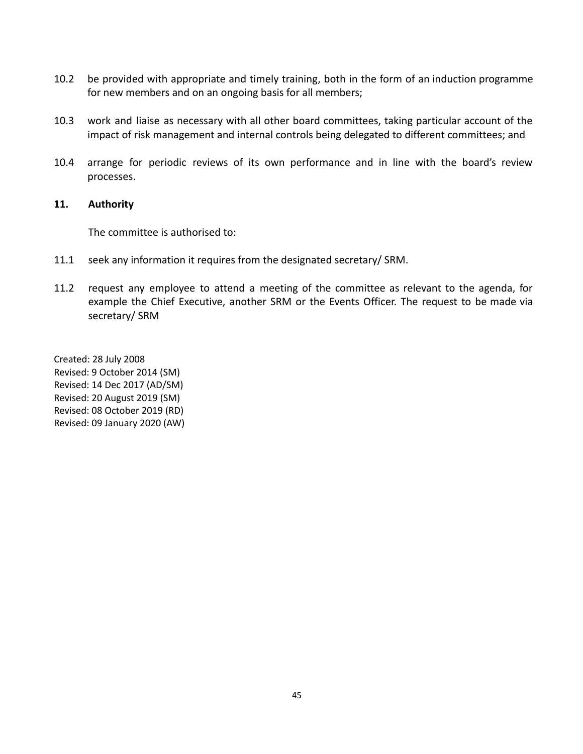- 10.2 be provided with appropriate and timely training, both in the form of an induction programme for new members and on an ongoing basis for all members;
- 10.3 work and liaise as necessary with all other board committees, taking particular account of the impact of risk management and internal controls being delegated to different committees; and
- 10.4 arrange for periodic reviews of its own performance and in line with the board's review processes.

#### **11. Authority**

The committee is authorised to:

- 11.1 seek any information it requires from the designated secretary/ SRM.
- 11.2 request any employee to attend a meeting of the committee as relevant to the agenda, for example the Chief Executive, another SRM or the Events Officer. The request to be made via secretary/ SRM

Created: 28 July 2008 Revised: 9 October 2014 (SM) Revised: 14 Dec 2017 (AD/SM) Revised: 20 August 2019 (SM) Revised: 08 October 2019 (RD) Revised: 09 January 2020 (AW)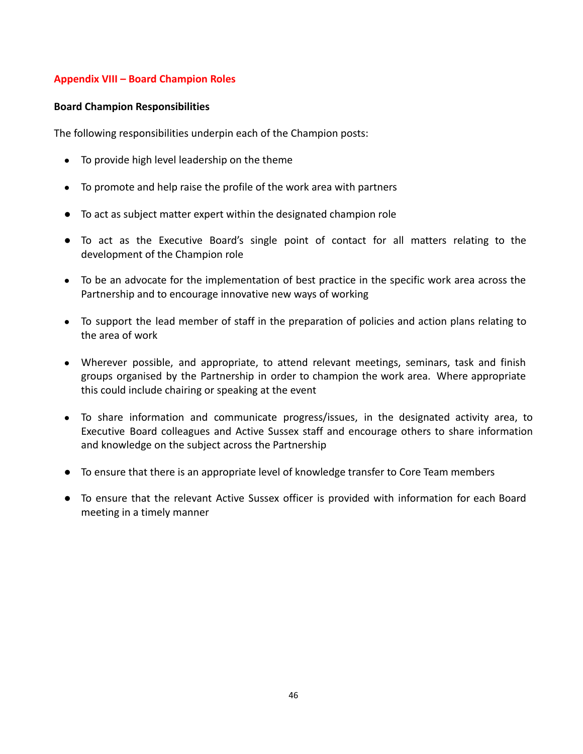## **Appendix VIII – Board Champion Roles**

#### **Board Champion Responsibilities**

The following responsibilities underpin each of the Champion posts:

- To provide high level leadership on the theme
- To promote and help raise the profile of the work area with partners
- To act as subject matter expert within the designated champion role
- To act as the Executive Board's single point of contact for all matters relating to the development of the Champion role
- To be an advocate for the implementation of best practice in the specific work area across the Partnership and to encourage innovative new ways of working
- To support the lead member of staff in the preparation of policies and action plans relating to the area of work
- Wherever possible, and appropriate, to attend relevant meetings, seminars, task and finish groups organised by the Partnership in order to champion the work area. Where appropriate this could include chairing or speaking at the event
- To share information and communicate progress/issues, in the designated activity area, to Executive Board colleagues and Active Sussex staff and encourage others to share information and knowledge on the subject across the Partnership
- To ensure that there is an appropriate level of knowledge transfer to Core Team members
- To ensure that the relevant Active Sussex officer is provided with information for each Board meeting in a timely manner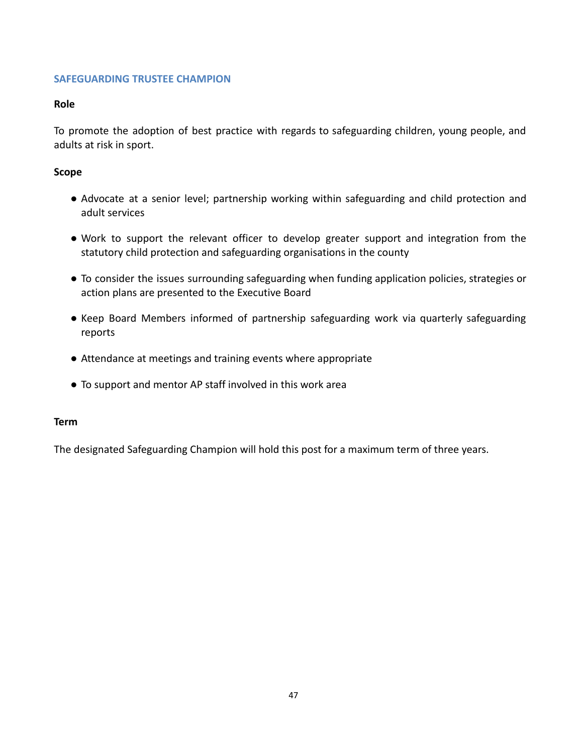## **SAFEGUARDING TRUSTEE CHAMPION**

#### **Role**

To promote the adoption of best practice with regards to safeguarding children, young people, and adults at risk in sport.

#### **Scope**

- Advocate at a senior level; partnership working within safeguarding and child protection and adult services
- Work to support the relevant officer to develop greater support and integration from the statutory child protection and safeguarding organisations in the county
- To consider the issues surrounding safeguarding when funding application policies, strategies or action plans are presented to the Executive Board
- Keep Board Members informed of partnership safeguarding work via quarterly safeguarding reports
- Attendance at meetings and training events where appropriate
- To support and mentor AP staff involved in this work area

#### **Term**

The designated Safeguarding Champion will hold this post for a maximum term of three years.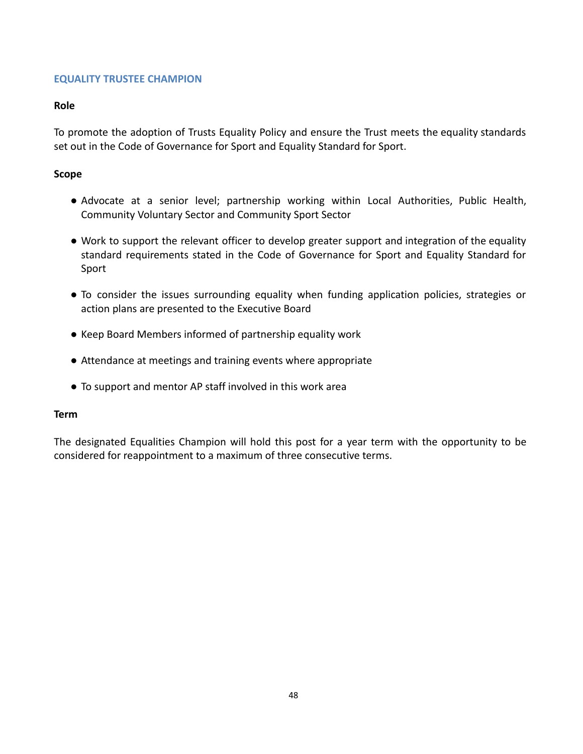## **EQUALITY TRUSTEE CHAMPION**

#### **Role**

To promote the adoption of Trusts Equality Policy and ensure the Trust meets the equality standards set out in the Code of Governance for Sport and Equality Standard for Sport.

## **Scope**

- Advocate at a senior level; partnership working within Local Authorities, Public Health, Community Voluntary Sector and Community Sport Sector
- Work to support the relevant officer to develop greater support and integration of the equality standard requirements stated in the Code of Governance for Sport and Equality Standard for Sport
- To consider the issues surrounding equality when funding application policies, strategies or action plans are presented to the Executive Board
- Keep Board Members informed of partnership equality work
- Attendance at meetings and training events where appropriate
- To support and mentor AP staff involved in this work area

#### **Term**

The designated Equalities Champion will hold this post for a year term with the opportunity to be considered for reappointment to a maximum of three consecutive terms.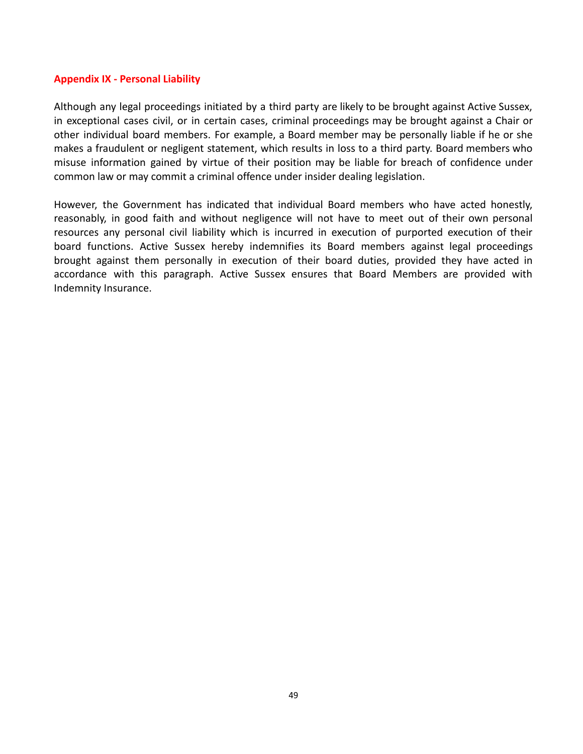#### **Appendix IX - Personal Liability**

Although any legal proceedings initiated by a third party are likely to be brought against Active Sussex, in exceptional cases civil, or in certain cases, criminal proceedings may be brought against a Chair or other individual board members. For example, a Board member may be personally liable if he or she makes a fraudulent or negligent statement, which results in loss to a third party. Board members who misuse information gained by virtue of their position may be liable for breach of confidence under common law or may commit a criminal offence under insider dealing legislation.

However, the Government has indicated that individual Board members who have acted honestly, reasonably, in good faith and without negligence will not have to meet out of their own personal resources any personal civil liability which is incurred in execution of purported execution of their board functions. Active Sussex hereby indemnifies its Board members against legal proceedings brought against them personally in execution of their board duties, provided they have acted in accordance with this paragraph. Active Sussex ensures that Board Members are provided with Indemnity Insurance.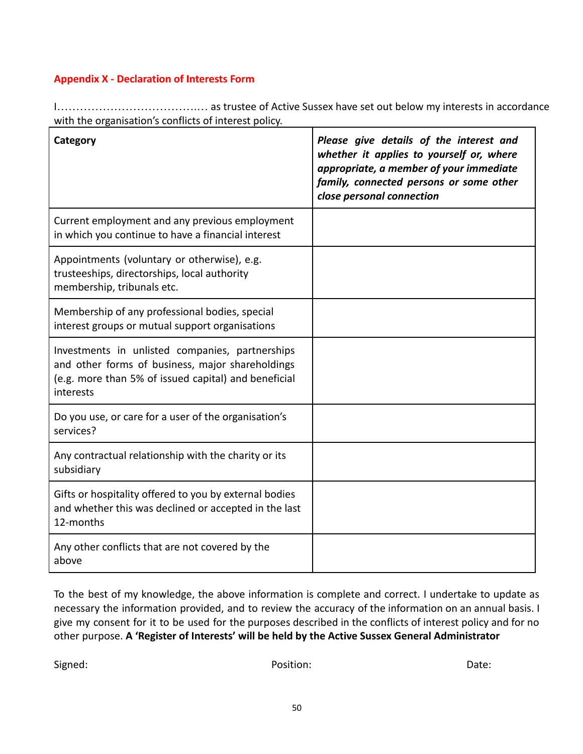## **Appendix X - Declaration of Interests Form**

I……………………………….… as trustee of Active Sussex have set out below my interests in accordance with the organisation's conflicts of interest policy.

| Category                                                                                                                                                                 | Please give details of the interest and<br>whether it applies to yourself or, where<br>appropriate, a member of your immediate<br>family, connected persons or some other<br>close personal connection |
|--------------------------------------------------------------------------------------------------------------------------------------------------------------------------|--------------------------------------------------------------------------------------------------------------------------------------------------------------------------------------------------------|
| Current employment and any previous employment<br>in which you continue to have a financial interest                                                                     |                                                                                                                                                                                                        |
| Appointments (voluntary or otherwise), e.g.<br>trusteeships, directorships, local authority<br>membership, tribunals etc.                                                |                                                                                                                                                                                                        |
| Membership of any professional bodies, special<br>interest groups or mutual support organisations                                                                        |                                                                                                                                                                                                        |
| Investments in unlisted companies, partnerships<br>and other forms of business, major shareholdings<br>(e.g. more than 5% of issued capital) and beneficial<br>interests |                                                                                                                                                                                                        |
| Do you use, or care for a user of the organisation's<br>services?                                                                                                        |                                                                                                                                                                                                        |
| Any contractual relationship with the charity or its<br>subsidiary                                                                                                       |                                                                                                                                                                                                        |
| Gifts or hospitality offered to you by external bodies<br>and whether this was declined or accepted in the last<br>12-months                                             |                                                                                                                                                                                                        |
| Any other conflicts that are not covered by the<br>above                                                                                                                 |                                                                                                                                                                                                        |

To the best of my knowledge, the above information is complete and correct. I undertake to update as necessary the information provided, and to review the accuracy of the information on an annual basis. I give my consent for it to be used for the purposes described in the conflicts of interest policy and for no other purpose. **A 'Register of Interests' will be held by the Active Sussex General Administrator**

Signed: The Contract of Contract of Position: The Contract of Contract of Contract of Contract of Contract of Contract of Contract of Contract of Contract of Contract of Contract of Contract of Contract of Contract of Cont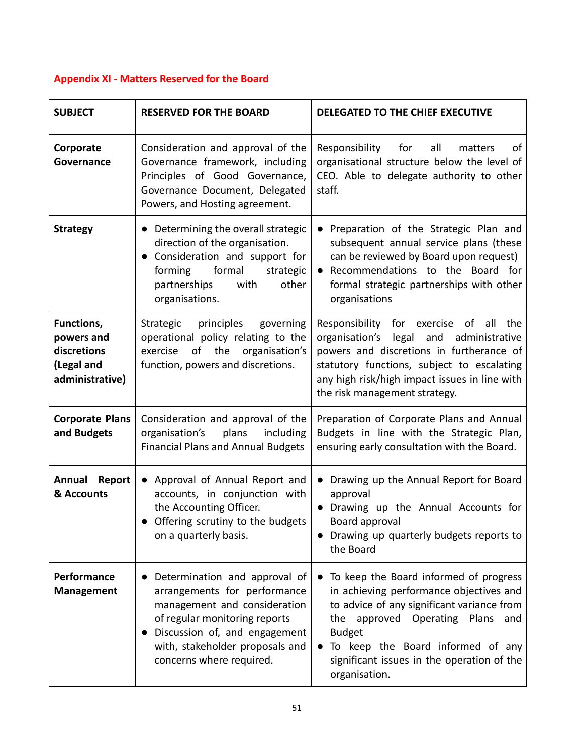## **Appendix XI - Matters Reserved for the Board**

| <b>SUBJECT</b>                                                           | <b>RESERVED FOR THE BOARD</b>                                                                                                                                                                                                  | DELEGATED TO THE CHIEF EXECUTIVE                                                                                                                                                                                                                                                                                   |  |
|--------------------------------------------------------------------------|--------------------------------------------------------------------------------------------------------------------------------------------------------------------------------------------------------------------------------|--------------------------------------------------------------------------------------------------------------------------------------------------------------------------------------------------------------------------------------------------------------------------------------------------------------------|--|
| Corporate<br>Governance                                                  | Consideration and approval of the<br>Governance framework, including<br>Principles of Good Governance,<br>Governance Document, Delegated<br>Powers, and Hosting agreement.                                                     | of<br>Responsibility<br>for<br>all<br>matters<br>organisational structure below the level of<br>CEO. Able to delegate authority to other<br>staff.                                                                                                                                                                 |  |
| <b>Strategy</b>                                                          | • Determining the overall strategic<br>direction of the organisation.<br>Consideration and support for<br>$\bullet$<br>formal<br>forming<br>strategic<br>partnerships<br>with<br>other<br>organisations.                       | Preparation of the Strategic Plan and<br>$\bullet$<br>subsequent annual service plans (these<br>can be reviewed by Board upon request)<br>Recommendations to the Board for<br>formal strategic partnerships with other<br>organisations                                                                            |  |
| Functions,<br>powers and<br>discretions<br>(Legal and<br>administrative) | principles<br>Strategic<br>governing<br>operational policy relating to the<br>of the<br>organisation's<br>exercise<br>function, powers and discretions.                                                                        | Responsibility for exercise of<br>all the<br>organisation's legal and administrative<br>powers and discretions in furtherance of<br>statutory functions, subject to escalating<br>any high risk/high impact issues in line with<br>the risk management strategy.                                                   |  |
| <b>Corporate Plans</b><br>and Budgets                                    | Consideration and approval of the<br>organisation's<br>plans<br>including<br><b>Financial Plans and Annual Budgets</b>                                                                                                         | Preparation of Corporate Plans and Annual<br>Budgets in line with the Strategic Plan,<br>ensuring early consultation with the Board.                                                                                                                                                                               |  |
| Annual Report<br>& Accounts                                              | • Approval of Annual Report and<br>accounts, in conjunction with<br>the Accounting Officer.<br>Offering scrutiny to the budgets<br>on a quarterly basis.                                                                       | Drawing up the Annual Report for Board<br>$\bullet$<br>approval<br>Drawing up the Annual Accounts for<br>Board approval<br>• Drawing up quarterly budgets reports to<br>the Board                                                                                                                                  |  |
| Performance<br><b>Management</b>                                         | Determination and approval of<br>arrangements for performance<br>management and consideration<br>of regular monitoring reports<br>Discussion of, and engagement<br>with, stakeholder proposals and<br>concerns where required. | To keep the Board informed of progress<br>$\bullet$<br>in achieving performance objectives and<br>to advice of any significant variance from<br>the approved Operating Plans and<br><b>Budget</b><br>To keep the Board informed of any<br>$\bullet$<br>significant issues in the operation of the<br>organisation. |  |